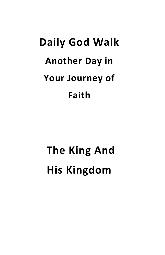# **Daily God Walk Another Day in Your Journey of Faith**

# **The King And His Kingdom**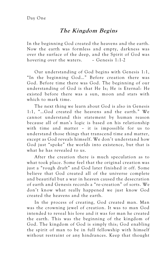#### **The Kingdom Begins**

In the beginning God created the heavens and the earth. Now the earth was formless and empty, darkness was over the surface of the deep, and the Spirit of God was hovering over the waters. - Genesis 1:1-2

Our understanding of God begins with Genesis 1:1, "In the beginning God…" Before creation there was God. Before time there was God. The beginning of our understanding of God is that He Is; He is Eternal: He existed before there was a sun, moon and stars with which to mark time.

The next thing we learn about God is also in Genesis 1:1, "…God created the heavens and the earth." We cannot understand this statement by human reason because all of man's logic is based on his relationship with time and matter – it is impossible for us to understand those things that transcend time and matter, except as God reveals himself. We don't understand how God just "spoke" the worlds into existence, but that is what he has revealed to us.

After the creation there is much speculation as to what took place. Some feel that the original creation was just a "rough draft" and God later finished it off. Some believe that God created all of the universe complete and beautiful but a war in heaven caused the desecration of earth and Genesis records a "re -creation" of sorts. We don't know what really happened we just know God created the heavens and the earth.

In the process of creating, God created man. Man was the crowning jewel of creation. It was to man God intended to reveal his love and it was for man he created the earth. This was the beginning of the kingdom of God. The kingdom of God is simply this; God enabling the spirit of man to be in full fellowship with himself without restraint or any hindrances. Keep that thought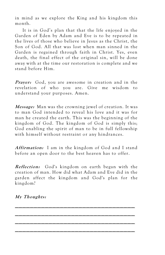in mind as we explore the King and his kingdom this month.

It is in God's plan that that the life enjoyed in the Garden of Eden by Adam and Eve is to be repeated in the lives of those who believe in Jesus as the Christ, the Son of God. All that was lost when man sinned in the Garden is regained through faith in Christ. Yes, even death, the final effect of the original sin, will be done away with at the time our restoration is complete and we stand before Him.

**Prayer:** God, you are awesome in creation and in the revelation of who you are. Give me wisdom to understand your purposes. Amen.

**Message:** Man was the crowning jewel of creation. It was to man God intended to reveal his love and it was for man he created the earth. This was the beginning of the kingdom of God. The kingdom of God is simply this; God enabling the spirit of man to be in full fellowship with himself without restraint or any hindrances.

**Affirmation:** I am in the kingdom of God and I stand before an open door to the best heaven has to offer.

**Reflection:** God's kingdom on earth began with the creation of man. How did what Adam and Eve did in the garden affect the kingdom and God's plan for the kingdom?

\_\_\_\_\_\_\_\_\_\_\_\_\_\_\_\_\_\_\_\_\_\_\_\_\_\_\_\_\_\_\_\_  $\overline{\phantom{a}}$  , which is a set of the set of the set of the set of the set of the set of the set of the set of the set of the set of the set of the set of the set of the set of the set of the set of the set of the set of th  $\overline{\phantom{a}}$  , where  $\overline{\phantom{a}}$  , where  $\overline{\phantom{a}}$  ,  $\overline{\phantom{a}}$  ,  $\overline{\phantom{a}}$  ,  $\overline{\phantom{a}}$  ,  $\overline{\phantom{a}}$  ,  $\overline{\phantom{a}}$  ,  $\overline{\phantom{a}}$  ,  $\overline{\phantom{a}}$  ,  $\overline{\phantom{a}}$  ,  $\overline{\phantom{a}}$  ,  $\overline{\phantom{a}}$  ,  $\overline{\phantom{a}}$  ,  $\overline{\phantom{a}}$  ,  $\overline{\phantom{a}}$  , where  $\overline{\phantom{a}}$  , where  $\overline{\phantom{a}}$  ,  $\overline{\phantom{a}}$  ,  $\overline{\phantom{a}}$  ,  $\overline{\phantom{a}}$  ,  $\overline{\phantom{a}}$  ,  $\overline{\phantom{a}}$  ,  $\overline{\phantom{a}}$  ,  $\overline{\phantom{a}}$  ,  $\overline{\phantom{a}}$  ,  $\overline{\phantom{a}}$  ,  $\overline{\phantom{a}}$  ,  $\overline{\phantom{a}}$  ,  $\overline{\phantom{a}}$  ,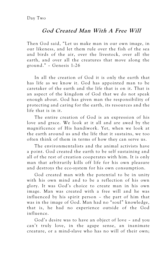## **God Created Man With A Free Will**

Then God said, "Let us make man in our own image, in our likeness, and let them rule over the fish of the sea and birds of the air, over the livestock, over all the earth, and over all the creatures that move along the ground." – Genesis 1:26

In all the creation of God it is only the earth that has life as we know it. God has appointed man to be caretaker of the earth and the life that is on it. That is an aspect of the kingdom of God that we do not speak enough about. God has given man the responsibility of protecting and caring for the earth, its resources and the life that is in it.

The entire creation of God is an expression of his love and grace. We look at it all and are awed by the magnificence of His handiwork. Yet, when we look at the earth around us and the life that it sustains, we too often think of them in terms of how they can serve us.

The environmentalists and the animal activists have a point. God created the earth to be self sustaining and all of the rest of creation cooperates with him. It is only man that arbitrarily kills off life for his own pleasure and destroys the eco-system for his own consumption.

God created man with the potential to be in unity with his own mind and to be a reflection of his own glory. It was God's choice to create man in his own image. Man was created with a free will and he was influenced by his spirit person – the part of him that was in the image of God. Man had no "soul" knowledge, that is, he had no experience outside of the God influence.

God's desire was to have an object of love - and you can't truly love, in the agape sense, an inanimate creature, or a mind-slave who has no will of their own;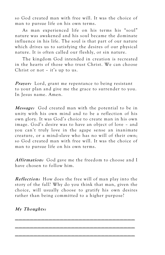so God created man with free will. It was the choice of man to pursue life on his own terms.

As man experienced life on his terms his "soul" nature was awakened and his soul became the dominate influence in his life. The soul is that part of our nature which drives us to satisfying the desires of our physical nature. It is often called our fleshly, or sin nature.

The kingdom God intended in creation is recreated in the hearts of those who trust Christ. We can choose Christ or not – it's up to us.

**Prayer:** Lord, grant me repentance to being resistant to your plan and give me the grace to surrender to you. In Jesus name. Amen.

**Message:** God created man with the potential to be in unity with his own mind and to be a reflection of his own glory. It was God's choice to create man in his own image. God's desire was to have an object of love – and you can't truly love in the agape sense an inanimate creature, or a mind-slave who has no will of their own; so God created man with free will. It was the choice of man to pursue life on his own terms.

**Affirmation:** God gave me the freedom to choose and I have chosen to follow him.

**Reflection:** How does the free will of man play into the story of the fall? Why do you think that man, given the choice, will usually choose to gratify his own desires rather than being committed to a higher purpose?

 $\overline{\phantom{a}}$  , where  $\overline{\phantom{a}}$  , where  $\overline{\phantom{a}}$  ,  $\overline{\phantom{a}}$  ,  $\overline{\phantom{a}}$  ,  $\overline{\phantom{a}}$  ,  $\overline{\phantom{a}}$  ,  $\overline{\phantom{a}}$  ,  $\overline{\phantom{a}}$  ,  $\overline{\phantom{a}}$  ,  $\overline{\phantom{a}}$  ,  $\overline{\phantom{a}}$  ,  $\overline{\phantom{a}}$  ,  $\overline{\phantom{a}}$  ,  $\overline{\phantom{a}}$  ,  $\overline{\phantom{a}}$  , where  $\overline{\phantom{a}}$  , where  $\overline{\phantom{a}}$  ,  $\overline{\phantom{a}}$  ,  $\overline{\phantom{a}}$  ,  $\overline{\phantom{a}}$  ,  $\overline{\phantom{a}}$  ,  $\overline{\phantom{a}}$  ,  $\overline{\phantom{a}}$  ,  $\overline{\phantom{a}}$  ,  $\overline{\phantom{a}}$  ,  $\overline{\phantom{a}}$  ,  $\overline{\phantom{a}}$  ,  $\overline{\phantom{a}}$  ,  $\overline{\phantom{a}}$  , \_\_\_\_\_\_\_\_\_\_\_\_\_\_\_\_\_\_\_\_\_\_\_\_\_\_\_\_\_\_\_\_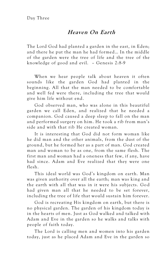## **Heaven On Earth**

The Lord God had planted a garden in the east, in Eden; and there he put the man he had formed… In the middle of the garden were the tree of life and the tree of the knowledge of good and evil. – Genesis 2:8-9

When we hear people talk about heaven it often sounds like the garden God had planted in the beginning. All that the man needed to be comfortable and well fed were there, including the tree that would give him life without end.

God observed man, who was alone in this beautiful garden we call Eden, and realized that he needed a companion. God caused a deep sleep to fall on the man and performed surgery on him. He took a rib from man's side and with that rib He created woman.

It is interesting that God did not form woman like he did man and the other animals, from the dust of the ground, but he formed her as a part of man. God created man and woman to be as one, from the same flesh. The first man and woman had a oneness that few, if any, have had since. Adam and Eve realized that they were one flesh.

This ideal world was God's kingdom on earth. Man was given authority over all the earth; man was king and the earth with all that was in it were his subjects. Go d had given man all that he needed to be set forever, including the tree of life that would sustain him forever.

God is recreating His kingdom on earth, but there is no physical garden. The garden of his kingdom today is in the hearts of men. Just as God walked and talked with Adam and Eve in the garden so he walks and talks with people of faith today.

The Lord is calling men and women into his garden today, just as he placed Adam and Eve in the garden so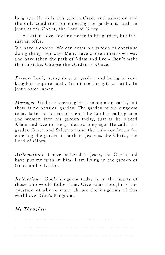long ago. He calls this garden Grace and Salvation and the only condition for entering the garden is faith in Jesus as the Christ, the Lord of Glory.

He offers love, joy and peace in his garden, but it is just an offer.

We have a choice. We can enter his garden or continue doing things our way. Many have chosen their own way and have taken the path of Adam and Eve – Don't make that mistake. Choose the Garden of Grace.

**Prayer:** Lord, living in your garden and being in your kingdom require faith. Grant me the gift of faith. In Jesus name, amen.

**Message:** God is recreating His kingdom on earth, but there is no physical garden. The garden of his kingdom today is in the hearts of men. The Lord is calling men and women into his garden today, just as he placed Adam and Eve in the garden so long ago. He calls this garden Grace and Salvation and the only condition for entering the garden is faith in Jesus as the Christ, the Lord of Glory.

**Affirmation:** I have believed in Jesus, the Christ and have put my faith in him. I am living in the garden of Grace and Salvation.

**Reflection:** God's kingdom today is in the hearts of those who would follow him. Give some thought to the question of why so many choose the kingdoms of this world over God's Kingdom.

 $\overline{\phantom{a}}$  , where  $\overline{\phantom{a}}$  , where  $\overline{\phantom{a}}$  ,  $\overline{\phantom{a}}$  ,  $\overline{\phantom{a}}$  ,  $\overline{\phantom{a}}$  ,  $\overline{\phantom{a}}$  ,  $\overline{\phantom{a}}$  ,  $\overline{\phantom{a}}$  ,  $\overline{\phantom{a}}$  ,  $\overline{\phantom{a}}$  ,  $\overline{\phantom{a}}$  ,  $\overline{\phantom{a}}$  ,  $\overline{\phantom{a}}$  ,  $\overline{\phantom{a}}$  ,  $\overline{\phantom{a}}$  , where  $\overline{\phantom{a}}$  , where  $\overline{\phantom{a}}$  ,  $\overline{\phantom{a}}$  ,  $\overline{\phantom{a}}$  ,  $\overline{\phantom{a}}$  ,  $\overline{\phantom{a}}$  ,  $\overline{\phantom{a}}$  ,  $\overline{\phantom{a}}$  ,  $\overline{\phantom{a}}$  ,  $\overline{\phantom{a}}$  ,  $\overline{\phantom{a}}$  ,  $\overline{\phantom{a}}$  ,  $\overline{\phantom{a}}$  ,  $\overline{\phantom{a}}$  , \_\_\_\_\_\_\_\_\_\_\_\_\_\_\_\_\_\_\_\_\_\_\_\_\_\_\_\_\_\_\_\_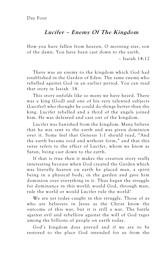#### **Lucifer – Enemy Of The Kingdom**

How you have fallen from heaven, O morning star, son of the dawn. You have been cast down to the earth.

– Isaiah 14:12

There was an enemy to the kingdom which God had established in the Garden of Eden. The same enemy who rebelled against God in an earlier period. You can read that story in Isaiah 14.

This story unfolds like so many we have heard. There was a king (God) and one of his very talented subjects (Lucifer) who thought he could do things better than the king. Lucifer rebelled and a third of the angels joined him. He was defeated and cast out of the kingdom.

Lucifer was banished from the kingdom. Many believe that he was sent to the earth and was given dominion over it. Some feel that Genesis 1:1 should read, "And the earth became void and without form," and that this verse refers to the effect of Lucifer, whom we know as Satan, being cast down to the earth.

If that is true then it makes the creation story really interesting because when God created the Garden which was literally heaven on earth he placed man, a spirit being in a physical body, in the garden and gave him dominion over everything in it. Thus began the struggle for dominance in this world; would God, through man, rule the world or would Lucifer rule the world?

We are yet today caught in this struggle. Those of us who are believers in Jesus as the Christ know the outcome of this war, but it is still a war. The battle against evil and rebellion against the will of God rages among the billions of people on earth today.

God's kingdom does prevail and if we are to be restored to the place God intended for us from the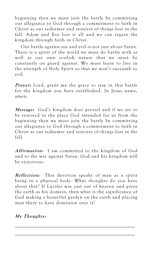beginning then we must join the battle by committing our allegiance to God through a commitment to faith in Christ as our redeemer and restorer of things lost in the fall. Adam and Eve lost it all and we can regain the kingdom through faith in Christ.

Our battle against sin and evil is not just about Satan. There is a spirit of the world we must do battle with as well as our own soulish nature that we must be constantly on guard against. We must learn to live in the strength of Holy Spirit so that we won't succumb to evil.

**Prayer:** Lord, grant me the grace to stay in this battle for the kingdom you have established. In Jesus name, amen.

**Message:** God's kingdom does prevail and if we are to be restored to the place God intended for us from the beginning then we must join the battle by committing our allegiance to God through a commitment to faith in Christ as our redeemer and restorer of things lost in the fall.

**Affirmation:** I am committed to the kingdom of God and to the war against Satan. God and his kingdom will be victorious.

**Reflection:** This devotion speaks of man as a spirit being in a physical body. What thoughts do you have about that? If Lucifer was cast out of heaven and given the earth as his domain, then what is the significance of God making a beautiful garden on the earth and placing man there to have dominion over it?

\_\_\_\_\_\_\_\_\_\_\_\_\_\_\_\_\_\_\_\_\_\_\_\_\_\_\_\_\_\_\_\_ \_\_\_\_\_\_\_\_\_\_\_\_\_\_\_\_\_\_\_\_\_\_\_\_\_\_\_\_\_\_\_\_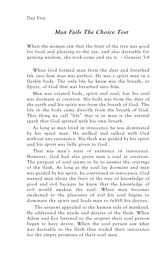### **Man Fails The Choice Test**

When the woman saw that the fruit of the tree was good for food and pleasing to the eye, and also desirable for gaining wisdom, she took some and ate it. – Genesis 3:6

When God formed man from the dust and breathed life into him man was perfect. He was a spirit man in a fleshly body. The only life he knew was the breath, or Spirit, of God that was breathed into him.

Man was created body, spirit and soul, but his soul was dormant at creation. His body was from the dust of the earth and his spirit was from the breath of God. The life in the body came directly from the breath of God. This thing we call "life" that is in man is the eternal spark that God ignited with his own breath.

As long as man lived in innocence he was dominated by his spirit man. He walked and talked with God without any resistance. His flesh was guided by his spirit and his spirit was fully given to God.

That was man's state of existence in innocence. However, God had also given man a soul at creation. The purpose of soul seems to be to answer the cravings of the flesh. As long as the soul lay dormant and man was guided by his spirit, he continued in innocence. God warned man about the fruit of the tree of knowledge of good and evil because he knew that the knowledge of evil would awaken the soul. When man becomes awakened to the pleasures of evil his soul begins to dominate the spirit and leads man to fulfill his desires.

The serpent appealed to the human side of mankind. He addressed the needs and desires of the flesh. When Adam and Eve listened to the serpent their soul person began to have desire. When the soul person saw what was desirable to the flesh they traded their innocence for the empty promises of their soul man.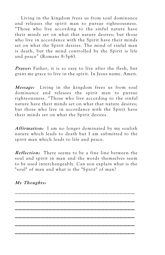Living in the kingdom frees us from soul dominance and releases the spirit man to pursue righteousness. "Those who live according to the sinful nature have their minds set on what that nature desires; but those who live in accordance with the Spirit have their minds set on what the Spirit desires. The mind of sinful man is death, but the mind controlled by the Spirit is life and peace" (Romans 8:5p6).

**Prayer:** Father, it is so easy to live after the flesh, but grant me grace to live in the spirit. In Jesus name. Amen.

**Message:** Living in the kingdom frees us from soul dominance and releases the spirit man to pursue righteousness. "Those who live according to the sinful nature have their minds set on what that nature desires; but those who live in accordance with the Spirit have their minds set on what the Spirit desires.

**Affirmation:** I am no longer dominated by my soulish nature which leads to death but I am submitted to the spirit man which leads to life and peace.

**Reflection:** There seems to be a fine line between the soul and spirit in man and the words themselves seem to be used interchangeably. Can you explain what is the "soul" of man and what is the "Spirit" of man?

 $\overline{\phantom{a}}$  , where  $\overline{\phantom{a}}$  , where  $\overline{\phantom{a}}$  ,  $\overline{\phantom{a}}$  ,  $\overline{\phantom{a}}$  ,  $\overline{\phantom{a}}$  ,  $\overline{\phantom{a}}$  ,  $\overline{\phantom{a}}$  ,  $\overline{\phantom{a}}$  ,  $\overline{\phantom{a}}$  ,  $\overline{\phantom{a}}$  ,  $\overline{\phantom{a}}$  ,  $\overline{\phantom{a}}$  ,  $\overline{\phantom{a}}$  ,  $\overline{\phantom{a}}$  , \_\_\_\_\_\_\_\_\_\_\_\_\_\_\_\_\_\_\_\_\_\_\_\_\_\_\_\_\_\_\_\_  $\overline{\phantom{a}}$  , which is a set of the set of the set of the set of the set of the set of the set of the set of the set of the set of the set of the set of the set of the set of the set of the set of the set of the set of th  $\overline{\phantom{a}}$  , which is a set of the set of the set of the set of the set of the set of the set of the set of the set of the set of the set of the set of the set of the set of the set of the set of the set of the set of th  $\overline{\phantom{a}}$  , where  $\overline{\phantom{a}}$  , where  $\overline{\phantom{a}}$  ,  $\overline{\phantom{a}}$  ,  $\overline{\phantom{a}}$  ,  $\overline{\phantom{a}}$  ,  $\overline{\phantom{a}}$  ,  $\overline{\phantom{a}}$  ,  $\overline{\phantom{a}}$  ,  $\overline{\phantom{a}}$  ,  $\overline{\phantom{a}}$  ,  $\overline{\phantom{a}}$  ,  $\overline{\phantom{a}}$  ,  $\overline{\phantom{a}}$  ,  $\overline{\phantom{a}}$  ,  $\overline{\phantom{a}}$  , where  $\overline{\phantom{a}}$  , where  $\overline{\phantom{a}}$  ,  $\overline{\phantom{a}}$  ,  $\overline{\phantom{a}}$  ,  $\overline{\phantom{a}}$  ,  $\overline{\phantom{a}}$  ,  $\overline{\phantom{a}}$  ,  $\overline{\phantom{a}}$  ,  $\overline{\phantom{a}}$  ,  $\overline{\phantom{a}}$  ,  $\overline{\phantom{a}}$  ,  $\overline{\phantom{a}}$  ,  $\overline{\phantom{a}}$  ,  $\overline{\phantom{a}}$  ,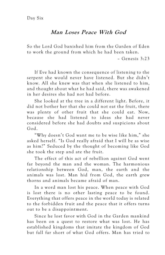#### **Man Loses Peace With God**

So the Lord God banished him from the Garden of Eden to work the ground from which he had been taken.

– Genesis 3:23

If Eve had known the consequence of listening to the serpent she would never have listened. But she didn't know. All she knew was that when she listened to him, and thought about what he had said, there was awakened in her desires she had not had before.

She looked at the tree in a different light. Before, it did not bother her that she could not eat the fruit, there was plenty of other fruit that she could eat. Now, because she had listened to ideas she had never considered before she had doubts and suspicions about God.

"Why doesn't God want me to be wise like him," she asked herself. "Is God really afraid that I will be as wise as him?" Seduced by the thought of becoming like God she took the step and ate the fruit.

The effect of this act of rebellion against God went far beyond the man and the woman. The harmonious relationship between God, man, the earth and the animals was lost. Man hid from God, the earth grew thorns and animals became afraid of man.

In a word man lost his peace. When peace with God is lost there is no other lasting peace to be found. Everything that offers peace in the world today is related to the forbidden fruit and the peace that it offers turns out to be a disappointment.

Since he lost favor with God in the Garden mankind has been on a quest to restore what was lost. He has established kingdoms that imitate the kingdom of God but fall far short of what God offers. Man has tried to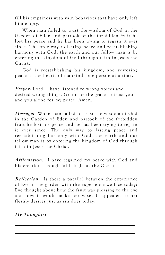fill his emptiness with vain behaviors that have only left him empty.

When man failed to trust the wisdom of God in the Garden of Eden and partook of the forbidden fruit he lost his peace and he has been trying to regain it ever since. The only way to lasting peace and reestablishing harmony with God, the earth and our fellow man is by entering the kingdom of God through faith in Jesus the Christ.

God is reestablishing his kingdom, and restoring peace in the hearts of mankind, one person at a time.

**Prayer:** Lord, I have listened to wrong voices and desired wrong things. Grant me the grace to trust you and you alone for my peace. Amen.

**Message:** When man failed to trust the wisdom of God in the Garden of Eden and partook of the forbidden fruit he lost his peace and he has been trying to regain it ever since. The only way to lasting peace and reestablishing harmony with God, the earth and our fellow man is by entering the kingdom of God through faith in Jesus the Christ.

**Affirmation:** I have regained my peace with God and his creation through faith in Jesus the Christ.

**Reflection:** Is there a parallel between the experience of Eve in the garden with the experience we face today? Eve thought about how the fruit was pleasing to the eye and how it would make her wise. It appealed to her fleshly desires just as sin does today.

 $\overline{\phantom{a}}$  , where  $\overline{\phantom{a}}$  , where  $\overline{\phantom{a}}$  ,  $\overline{\phantom{a}}$  ,  $\overline{\phantom{a}}$  ,  $\overline{\phantom{a}}$  ,  $\overline{\phantom{a}}$  ,  $\overline{\phantom{a}}$  ,  $\overline{\phantom{a}}$  ,  $\overline{\phantom{a}}$  ,  $\overline{\phantom{a}}$  ,  $\overline{\phantom{a}}$  ,  $\overline{\phantom{a}}$  ,  $\overline{\phantom{a}}$  ,  $\overline{\phantom{a}}$  , \_\_\_\_\_\_\_\_\_\_\_\_\_\_\_\_\_\_\_\_\_\_\_\_\_\_\_\_\_\_\_\_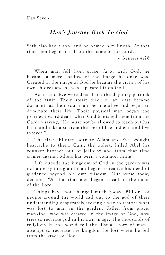#### **Man's Journey Back To God**

Seth also had a son, and he named him Enosh. At that time men began to call on the name of the Lord.

– Genesis 4:26

When man fell from grace, favor with God, he became a mere shadow of the image he once was. Created in the image of God he became the victim of his own choices and he was separated from God.

Adam and Eve were dead from the day they partook of the fruit. Their spirit died, or at least became dormant, as their soul man became alive and began to dominate their life. Their physical man began the journey toward death when God banished them from the Garden saying, "He must not be allowed to reach out his hand and take also from the tree of life and eat, and live forever."

The first children born to Adam and Eve brought heartache to them. Cain, the oldest, killed Abel his younger brother out of jealousy and from that time crimes against others has been a common thing.

Life outside the kingdom of God in the garden was not an easy thing and man began to realize his need of guidance beyond his own wisdom. Our verse today declares, "At that time men began to call on the name of the Lord."

Things have not changed much today. Billions of people around the world call out to the god of their understanding desperately seeking a way to restore what was lost to man in the garden. Fallen from grace, mankind, who was created in the image of God, now tries to recreate god in his own image. The thousands of religions in the world tell the dismal story of man's attempt to recreate the kingdom he lost when he fell from the grace of God.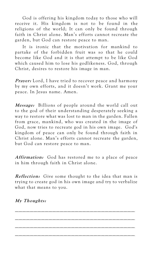God is offering his kingdom today to those who will receive it. His kingdom is not to be found in the religions of the world; It can only be found through faith in Christ alone. Man's efforts cannot recreate the garden, but God can restore peace to man.

It is ironic that the motivation for mankind to partake of the forbidden fruit was so that he could become like God and it is that attempt to be like God which caused him to lose his godlikeness. God, through Christ, desires to restore his image in man.

**Prayer:** Lord, I have tried to recover peace and harmony by my own efforts, and it doesn't work. Grant me your peace. In Jesus name. Amen.

**Message:** Billions of people around the world call out to the god of their understanding desperately seeking a way to restore what was lost to man in the garden. Fallen from grace, mankind, who was created in the image of God, now tries to recreate god in his own image. God's kingdom of peace can only be found through faith in Christ alone. Man's efforts cannot recreate the garden, but God can restore peace to man.

**Affirmation:** God has restored me to a place of peace in him through faith in Christ alone.

**Reflection:** Give some thought to the idea that man is trying to create god in his own image and try to verbalize what that means to you.

 $\overline{\phantom{a}}$  , where  $\overline{\phantom{a}}$  , where  $\overline{\phantom{a}}$  ,  $\overline{\phantom{a}}$  ,  $\overline{\phantom{a}}$  ,  $\overline{\phantom{a}}$  ,  $\overline{\phantom{a}}$  ,  $\overline{\phantom{a}}$  ,  $\overline{\phantom{a}}$  ,  $\overline{\phantom{a}}$  ,  $\overline{\phantom{a}}$  ,  $\overline{\phantom{a}}$  ,  $\overline{\phantom{a}}$  ,  $\overline{\phantom{a}}$  ,  $\overline{\phantom{a}}$  , \_\_\_\_\_\_\_\_\_\_\_\_\_\_\_\_\_\_\_\_\_\_\_\_\_\_\_\_\_\_\_\_ \_\_\_\_\_\_\_\_\_\_\_\_\_\_\_\_\_\_\_\_\_\_\_\_\_\_\_\_\_\_\_\_  $\overline{\phantom{a}}$  , which is a set of the set of the set of the set of the set of the set of the set of the set of the set of the set of the set of the set of the set of the set of the set of the set of the set of the set of th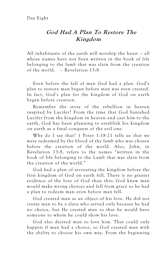## **God Had A Plan To Restore The Kingdom**

All inhabitants of the earth will worship the beast – all whose names have not been written in the book of life belonging to the lamb that was slain from the creation of the world. – Revelation 13:8

Even before the fall of man God had a plan. God's plan to restore man began before man was even created. In fact, God's plan for the kingdom of God on earth began before creation.

Remember the story of the rebellion in heaven inspired by Lucifer? From the time that God banished Lucifer from the kingdom in heaven and cast him to the earth, God has been planning to establish his kingdom on earth as a final conquest of the evil one.

Why do I say that? 1 Peter 1:18-21 tells us that we were redeemed by the blood of the lamb who was chosen before the creation of the world. Also, John, in Revelation 13:8, refers to the names "written in the book of life belonging to the Lamb that was slain from the creation of the world."

God had a plan of recreating the kingdom before the first kingdom of God on earth fell. There is no greater evidence of the love of God than this; God knew man would make wrong choices and fall from grace so he had a plan to redeem man even before man fell.

God created man as an object of his love. He did not create man to be a slave who served only because he had no choice, but He created man so that he would have someone to whom he could show his love.

God also desired man to love him. That could only happen if man had a choice, so God created man with the ability to choose his own way. From the beginning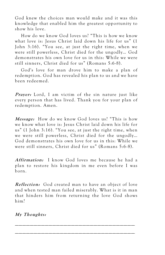God knew the choices man would make and it was this knowledge that enabled him the greatest opportunity to show his love.

How do we know God loves us? "This is how we know what love is: Jesus Christ laid down his life for us" (1 John 3:16). "You see, at just the right time, when we were still powerless, Christ died for the ungodly… God demonstrates his own love for us in this: While we were still sinners, Christ died for us" (Romans 5:6-8).

God's love for man drove him to make a plan of redemption. God has revealed his plan to us and we have been redeemed.

Prayer: Lord, I am victim of the sin nature just like every person that has lived. Thank you for your plan of redemption. Amen.

**Message:** How do we know God loves us? "This is how we know what love is: Jesus Christ laid down his life for us" (1 John 3:16). "You see, at just the right time, when we were still powerless, Christ died for the ungodly… God demonstrates his own love for us in this: While we were still sinners, Christ died for us" (Romans 5:6 -8).

**Affirmation:** I know God loves me because he had a plan to restore his kingdom in me even before I was born.

**Reflection:** God created man to have an object of love and when tested man failed miserably. What is it in man that hinders him from returning the love God shows him?

 $\overline{\phantom{a}}$  , where  $\overline{\phantom{a}}$  , where  $\overline{\phantom{a}}$  ,  $\overline{\phantom{a}}$  ,  $\overline{\phantom{a}}$  ,  $\overline{\phantom{a}}$  ,  $\overline{\phantom{a}}$  ,  $\overline{\phantom{a}}$  ,  $\overline{\phantom{a}}$  ,  $\overline{\phantom{a}}$  ,  $\overline{\phantom{a}}$  ,  $\overline{\phantom{a}}$  ,  $\overline{\phantom{a}}$  ,  $\overline{\phantom{a}}$  ,  $\overline{\phantom{a}}$  , \_\_\_\_\_\_\_\_\_\_\_\_\_\_\_\_\_\_\_\_\_\_\_\_\_\_\_\_\_\_\_\_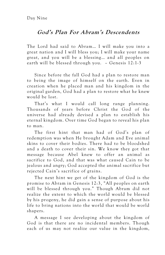#### **God's Plan For Abram's Descendents**

The Lord had said to Abram… I will make you into a great nation and I will bless you; I will make your name great, and you will be a blessing… and all peoples on earth will be blessed through you. – Genesis 12:1-3

Since before the fall God had a plan to restore man to being the image of himself on the earth. Even in creation when he placed man and his kingdom in the original garden, God had a plan to restore what he knew would be lost.

That's what I would call long range planning. Thousands of years before Christ the God of the universe had already devised a plan to establish his eternal kingdom. Over time God began to reveal his plan to man.

The first hint that man had of God's plan of redemption was when He brought Adam and Eve animal skins to cover their bodies. There had to be bloodshed and a death to cover their sin. We know they got that message because Abel knew to offer an animal as sacrifice to God, and that was what caused Cain to be jealous and angry; God accepted the animal sacrifice but rejected Cain's sacrifice of grains.

The next hint we get of the kingdom of God is the promise to Abram in Genesis 12:3, "All peoples on earth will be blessed through you." Though Abram did not realize the extent to which the world would be blessed by his progeny, he did gain a sense of purpose about his life to bring nations into the world that would be world shapers.

A message I see developing about the kingdom of God is that there are no incidental members. Though each of us may not realize our value in the kingdom,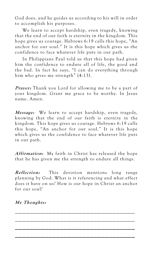God does, and he guides us according to his will in order to accomplish his purposes.

We learn to accept hardship, even tragedy, knowing that the end of our faith is eternity in the kingdom. This hope gives us courage. Hebrews 6:19 calls this hope, "An anchor for our soul." It is this hope which gives us the confidence to face whatever life puts in our path.

In Philippians Paul told us that this hope had given him the confidence to endure all of life, the good and the bad. In fact he says, "I can do everything through him who gives me strength" (4:13).

**Prayer:** Thank you Lord for allowing me to be a part of your kingdom. Grant me grace to be worthy. In Jesus name. Amen.

**Message:** We learn to accept hardship, even tragedy, knowing that the end of our faith is eternity in the kingdom. This hope gives us courage. Hebrews 6:19 calls this hope, "An anchor for our soul." It is this hope which gives us the confidence to face whatever life puts in our path.

**Affirmation:** My faith in Christ has released the hope that he has given me the strength to endure all things.

**Reflection:** This devotion mentions long range planning by God. What is it referencing and what effect does it have on us? How is our hope in Christ an anchor for our soul?

\_\_\_\_\_\_\_\_\_\_\_\_\_\_\_\_\_\_\_\_\_\_\_\_\_\_\_\_\_\_\_\_ \_\_\_\_\_\_\_\_\_\_\_\_\_\_\_\_\_\_\_\_\_\_\_\_\_\_\_\_\_\_\_\_  $\overline{\phantom{a}}$  , which is a set of the set of the set of the set of the set of the set of the set of the set of the set of the set of the set of the set of the set of the set of the set of the set of the set of the set of th  $\overline{\phantom{a}}$  , where  $\overline{\phantom{a}}$  , where  $\overline{\phantom{a}}$  ,  $\overline{\phantom{a}}$  ,  $\overline{\phantom{a}}$  ,  $\overline{\phantom{a}}$  ,  $\overline{\phantom{a}}$  ,  $\overline{\phantom{a}}$  ,  $\overline{\phantom{a}}$  ,  $\overline{\phantom{a}}$  ,  $\overline{\phantom{a}}$  ,  $\overline{\phantom{a}}$  ,  $\overline{\phantom{a}}$  ,  $\overline{\phantom{a}}$  ,  $\overline{\phantom{a}}$  ,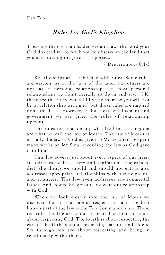### **Rules For God's Kingdom**

These are the commands, decrees and laws the Lord your God directed me to teach you to observe in the land that you are crossing the Jordan to possess.

– Deuteronomy 6:1-3

Relationships are established with rules. Some rules are written, as in the laws of the land, but others are not, as in personal relationships. In most personal relationships we don't literally sit down and say, "OK, these are the rules; you will live by them or you will not be in relationship with me," but those rules are implied none the less. However, in business, employment and government we are given the rules of relationship upfront.

The rules for relationship with God in his kingdom are what we call the law of Moses. The law of Moses is actually the law of God as given to Moses when he spent many weeks on Mt Sinai recording the law as God gave it to him.

This law covers just about every aspect of our lives. It addresses health, safety and sanitation. It speaks to diet, the things we should and should not eat. It also addresses appropriate relationships with our neighbors and strangers. This law even addresses environmental issues. And, not to be left out, it covers our relationship with God.

When we look closely into the law of Moses we discover that it is all about respect. In fact, the best known part of the law is the Ten Commandments. These ten rules for life are about respect. The first three are about respecting God. The fourth is about respecting the earth. The fifth is about respecting parents and elders. Six through ten are about respecting and being in relationship with others.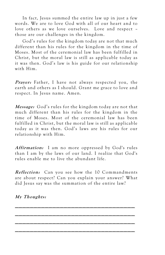In fact, Jesus summed the entire law up in just a few words. We are to love God with all of our heart and to love others as we love ourselves. Love and respect – those are our challenges in the kingdom.

God's rules for the kingdom today are not that much different than his rules for the kingdom in the time of Moses. Most of the ceremonial law has been fulfilled in Christ, but the moral law is still as applicable today as it was then. God's law is his guide for our relationship with Him.

**Prayer:** Father, I have not always respected you, the earth and others as I should. Grant me grace to love and respect. In Jesus name. Amen.

**Message:** God's rules for the kingdom today are not that much different than his rules for the kingdom in the time of Moses. Most of the ceremonial law has been fulfilled in Christ, but the moral law is still as applicable today as it was then. God's laws are his rules for our relationship with Him.

**Affirmation:** I am no more oppressed by God's rules than I am by the laws of our land. I realize that God's rules enable me to live the abundant life.

**Reflection:** Can you see how the 10 Commandments are about respect? Can you explain your answer? What did Jesus say was the summation of the entire law?

\_\_\_\_\_\_\_\_\_\_\_\_\_\_\_\_\_\_\_\_\_\_\_\_\_\_\_\_\_\_\_\_  $\overline{\phantom{a}}$  , which is a set of the set of the set of the set of the set of the set of the set of the set of the set of the set of the set of the set of the set of the set of the set of the set of the set of the set of th  $\overline{\phantom{a}}$  , where  $\overline{\phantom{a}}$  , where  $\overline{\phantom{a}}$  ,  $\overline{\phantom{a}}$  ,  $\overline{\phantom{a}}$  ,  $\overline{\phantom{a}}$  ,  $\overline{\phantom{a}}$  ,  $\overline{\phantom{a}}$  ,  $\overline{\phantom{a}}$  ,  $\overline{\phantom{a}}$  ,  $\overline{\phantom{a}}$  ,  $\overline{\phantom{a}}$  ,  $\overline{\phantom{a}}$  ,  $\overline{\phantom{a}}$  ,  $\overline{\phantom{a}}$  ,  $\overline{\phantom{a}}$  , where  $\overline{\phantom{a}}$  , where  $\overline{\phantom{a}}$  ,  $\overline{\phantom{a}}$  ,  $\overline{\phantom{a}}$  ,  $\overline{\phantom{a}}$  ,  $\overline{\phantom{a}}$  ,  $\overline{\phantom{a}}$  ,  $\overline{\phantom{a}}$  ,  $\overline{\phantom{a}}$  ,  $\overline{\phantom{a}}$  ,  $\overline{\phantom{a}}$  ,  $\overline{\phantom{a}}$  ,  $\overline{\phantom{a}}$  ,  $\overline{\phantom{a}}$  ,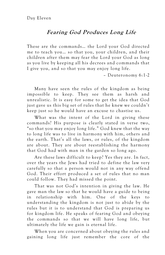### **Fearing God Produces Long Life**

These are the commands… the Lord your God directed me to teach you… so that you, your children, and their children after them may fear the Lord your God as long as you live by keeping all his decrees and commands that I give you, and so that you may enjoy long life.

– Deuteronomy 6:1-2

Many have seen the rules of the kingdom as being impossible to keep. They see them as harsh and unrealistic. It is easy for some to get the idea that God just gave us this big set of rules that he knew we couldn't keep just so he would have an excuse to chastise us.

What was the intent of the Lord in giving these commands? His purpose is clearly stated in verse two, "so that you may enjoy long life." God knew that the way to long life was to live in harmony with him, others and the earth. That's all the laws, or rules, of the kingdom are about. They are about reestablishing the harmony that God had with man in the garden so long ago.

Are these laws difficult to keep? Yes they are. In fact, over the years the Jews had tried to define the law very carefully so that a person would not in any way offend God. Their effort produced a set of rules that no man could follow. They had missed the point.

That was not God's intention in giving the law. He gave man the law so that he would have a guide to being in relationship with him. One of the keys to understanding the kingdom is not just to abide by the rules but it is to understand that God is preparing us for kingdom life. He speaks of fearing God and obeying the commands so that we will have long life, but ultimately the life we gain is eternal life.

When you are concerned about obeying the rules and gaining long life just remember the core of the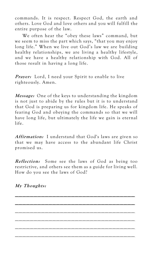commands. It is respect. Respect God, the earth and others. Love God and love others and you will fulfill the entire purpose of the law.

We often hear the "obey these laws" command, but we seem to miss the part which says, "that you may enjoy long life." When we live out God's law we are building healthy relationships, we are living a healthy lifestyle, and we have a healthy relationship with God. All of those result in having a long life.

**Prayer:** Lord, I need your Spirit to enable to live righteously. Amen.

**Message:** One of the keys to understanding the kingdom is not just to abide by the rules but it is to understand that God is preparing us for kingdom life. He speaks of fearing God and obeying the commands so that we will have long life, but ultimately the life we gain is eternal life.

**Affirmation:** I understand that God's laws are given so that we may have access to the abundant life Christ promised us.

**Reflection:** Some see the laws of God as being too restrictive, and others see them as a guide for living well. How do you see the laws of God?

 $\overline{\phantom{a}}$  , where  $\overline{\phantom{a}}$  , where  $\overline{\phantom{a}}$  ,  $\overline{\phantom{a}}$  ,  $\overline{\phantom{a}}$  ,  $\overline{\phantom{a}}$  ,  $\overline{\phantom{a}}$  ,  $\overline{\phantom{a}}$  ,  $\overline{\phantom{a}}$  ,  $\overline{\phantom{a}}$  ,  $\overline{\phantom{a}}$  ,  $\overline{\phantom{a}}$  ,  $\overline{\phantom{a}}$  ,  $\overline{\phantom{a}}$  ,  $\overline{\phantom{a}}$  , \_\_\_\_\_\_\_\_\_\_\_\_\_\_\_\_\_\_\_\_\_\_\_\_\_\_\_\_\_\_\_\_ \_\_\_\_\_\_\_\_\_\_\_\_\_\_\_\_\_\_\_\_\_\_\_\_\_\_\_\_\_\_\_\_  $\overline{\phantom{a}}$  , which is a set of the set of the set of the set of the set of the set of the set of the set of the set of the set of the set of the set of the set of the set of the set of the set of the set of the set of th  $\overline{\phantom{a}}$  , where  $\overline{\phantom{a}}$  , where  $\overline{\phantom{a}}$  ,  $\overline{\phantom{a}}$  ,  $\overline{\phantom{a}}$  ,  $\overline{\phantom{a}}$  ,  $\overline{\phantom{a}}$  ,  $\overline{\phantom{a}}$  ,  $\overline{\phantom{a}}$  ,  $\overline{\phantom{a}}$  ,  $\overline{\phantom{a}}$  ,  $\overline{\phantom{a}}$  ,  $\overline{\phantom{a}}$  ,  $\overline{\phantom{a}}$  ,  $\overline{\phantom{a}}$  ,  $\overline{\phantom{a}}$  , where  $\overline{\phantom{a}}$  , where  $\overline{\phantom{a}}$  ,  $\overline{\phantom{a}}$  ,  $\overline{\phantom{a}}$  ,  $\overline{\phantom{a}}$  ,  $\overline{\phantom{a}}$  ,  $\overline{\phantom{a}}$  ,  $\overline{\phantom{a}}$  ,  $\overline{\phantom{a}}$  ,  $\overline{\phantom{a}}$  ,  $\overline{\phantom{a}}$  ,  $\overline{\phantom{a}}$  ,  $\overline{\phantom{a}}$  ,  $\overline{\phantom{a}}$  ,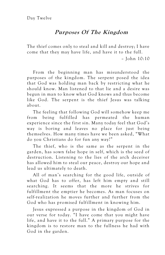### **Purposes Of The Kingdom**

The thief comes only to steal and kill and destroy; I have come that they may have life, and have it to the full.

– John 10:10

From the beginning man has misunderstood the purposes of the kingdom. The serpent posed the idea that God was holding man back by restricting what he should know. Man listened to that lie and a desire was begun in man to know what God knows and thus become like God. The serpent is the thief Jesus was talking about.

The feeling that following God will somehow keep me from being fulfilled has permeated the human experience since the first sin. Many today feel that God's way is boring and leaves no place for just being themselves. How many times have we been asked, "What do you Christians do for fun any way?"

The thief, who is the same as the serpent in the garden, has sown false hope in self, which is the seed of destruction. Listening to the lies of the arch deceiver has allowed him to steal our peace, destroy our hope and lead us ultimately to death.

All of man's searching for the good life, outside of what God has to offer, has left him empty and still searching. It seems that the more he strives for fulfillment the emptier he becomes. As man focuses on self-realization he moves further and further from the God who has promised fulfillment in knowing him.

Jesus expressed a purpose in the kingdom of God in our verse for today. "I have come that you might have life, and have it to the full." A primary purpose for the kingdom is to restore man to the fullness he had with God in the garden.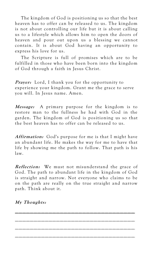The kingdom of God is positioning us so that the best heaven has to offer can be released to us. The kingdom is not about controlling our life but it is about calling us to a lifestyle which allows him to open the doors of heaven and pour out upon us a blessing we cannot contain. It is about God having an opportunity to express his love for us.

The Scripture is full of promises which are to be fulfilled in those who have been born into the kingdom of God through a faith in Jesus Christ.

**Prayer:** Lord, I thank you for the opportunity to experience your kingdom. Grant me the grace to serve you will. In Jesus name. Amen.

**Message:** A primary purpose for the kingdom is to restore man to the fullness he had with God in the garden. The kingdom of God is positioning us so that the best heaven has to offer can be released to us.

**Affirmation:** God's purpose for me is that I might have an abundant life. He makes the way for me to have that life by showing me the path to follow. That path is his law.

**Reflection:** We must not misunderstand the grace of God. The path to abundant life in the kingdom of God is straight and narrow. Not everyone who claims to be on the path are really on the true straight and narrow path. Think about it.

 $\overline{\phantom{a}}$  , which is a set of the set of the set of the set of the set of the set of the set of the set of the set of the set of the set of the set of the set of the set of the set of the set of the set of the set of th  $\overline{\phantom{a}}$  , where  $\overline{\phantom{a}}$  , where  $\overline{\phantom{a}}$  ,  $\overline{\phantom{a}}$  ,  $\overline{\phantom{a}}$  ,  $\overline{\phantom{a}}$  ,  $\overline{\phantom{a}}$  ,  $\overline{\phantom{a}}$  ,  $\overline{\phantom{a}}$  ,  $\overline{\phantom{a}}$  ,  $\overline{\phantom{a}}$  ,  $\overline{\phantom{a}}$  ,  $\overline{\phantom{a}}$  ,  $\overline{\phantom{a}}$  ,  $\overline{\phantom{a}}$  ,  $\overline{\phantom{a}}$  , where  $\overline{\phantom{a}}$  , where  $\overline{\phantom{a}}$  ,  $\overline{\phantom{a}}$  ,  $\overline{\phantom{a}}$  ,  $\overline{\phantom{a}}$  ,  $\overline{\phantom{a}}$  ,  $\overline{\phantom{a}}$  ,  $\overline{\phantom{a}}$  ,  $\overline{\phantom{a}}$  ,  $\overline{\phantom{a}}$  ,  $\overline{\phantom{a}}$  ,  $\overline{\phantom{a}}$  ,  $\overline{\phantom{a}}$  ,  $\overline{\phantom{a}}$  , \_\_\_\_\_\_\_\_\_\_\_\_\_\_\_\_\_\_\_\_\_\_\_\_\_\_\_\_\_\_\_\_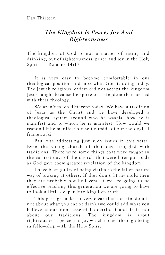## **The Kingdom Is Peace, Joy And Righteousness**

The kingdom of God is not a matter of eating and drinking, but of righteousness, peace and joy in the Holy Spirit. – Romans 14:17

It is very easy to become comfortable in our theological position and miss what God is doing today. The Jewish religious leaders did not accept the kingdom Jesus taught because he spoke of a kingdom that messed with their theology.

We aren't much different today. We have a tradition of Jesus as the Christ and we have developed a theological system around who he was/is, how he is manifest and to whom he is manifest. How would we respond if he manifest himself outside of our theological framework?

Paul was addressing just such issues in this verse. Even the young church of that day struggled with traditions. There were some things that were taught in the earliest days of the church that were later put aside as God gave them greater revelation of the kingdom.

I have been guilty of being victim to the fallen nature way of looking at others. If they don't fit my mold then they are probably not believers. If we are going to be effective reaching this generation we are going to have to look a little deeper into kingdom truth.

This passage makes it very clear that the kingdom is not about what you eat or drink (we could add what you believe about non- essential doctrines) and it is not about our traditions. The kingdom is about righteousness, peace and joy which comes through being in fellowship with the Holy Spirit.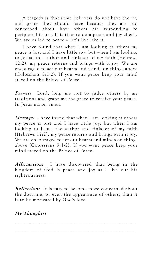A tragedy is that some believers do not have the joy and peace they should have because they are too concerned about how others are responding to peripheral issues. It is time to do a peace and joy check. We are called to peace - let's live like it.

I have found that when I am looking at others my peace is lost and I have little joy, but when I am looking to Jesus, the author and finisher of my faith (Hebrews 12:2), my peace returns and brings with it joy. We are encouraged to set our hearts and minds on things above (Colossians 3:1-2). If you want peace keep your mind stayed on the Prince of Peace.

**Prayer:** Lord, help me not to judge others by my traditions and grant me the grace to receive your peace. In Jesus name, amen.

**Message:** I have found that when I am looking at others my peace is lost and I have little joy, but when I am looking to Jesus, the author and finisher of my faith (Hebrews 12:2), my peace returns and brings with it joy. We are encouraged to set our hearts and minds on things above (Colossians 3:1-2). If you want peace keep your mind stayed on the Prince of Peace.

**Affirmation:** I have discovered that being in the kingdom of God is peace and joy as I live out his righteousness.

**Reflection:** It is easy to become more concerned about the doctrine, or even the appearance of others, than it is to be motivated by God's love.

 $\overline{\phantom{a}}$  , where  $\overline{\phantom{a}}$  , where  $\overline{\phantom{a}}$  ,  $\overline{\phantom{a}}$  ,  $\overline{\phantom{a}}$  ,  $\overline{\phantom{a}}$  ,  $\overline{\phantom{a}}$  ,  $\overline{\phantom{a}}$  ,  $\overline{\phantom{a}}$  ,  $\overline{\phantom{a}}$  ,  $\overline{\phantom{a}}$  ,  $\overline{\phantom{a}}$  ,  $\overline{\phantom{a}}$  ,  $\overline{\phantom{a}}$  ,  $\overline{\phantom{a}}$  , \_\_\_\_\_\_\_\_\_\_\_\_\_\_\_\_\_\_\_\_\_\_\_\_\_\_\_\_\_\_\_\_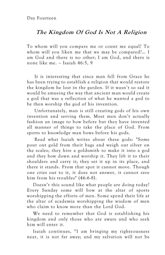#### **The Kingdom Of God Is Not A Religion**

To whom will you compare me or count me equal? To whom will you liken me that we may be compared?… I am God and there is no other; I am God, and there is none like me. – Isaiah 46:5, 9

It is interesting that since man fell from Grace he has been trying to establish a religion that would restore the kingdom he lost in the garden. If it wasn't so sad it would be amusing the way that ancient man would create a god that was a reflection of what he wanted a god to be then worship the god of his invention.

Unfortunately, man is still creating gods of his own invention and serving them. Most men don't actually fashion an image to bow before but they have invented all manner of things to take the place of God. From sports to knowledge man bows before his gods.

Read what Isaiah writes about these gods: "Some pour out gold from their bags and weigh out silver on the scales; they hire a goldsmith to make it into a god and they bow down and worship it. They lift it to their shoulders and carry it; they set it up in its place, and there it stands. From that spot it cannot move. Though one cries out to it, it does not answer, it cannot save him from his troubles" (46:6-8).

Doesn't this sound like what people are doing today? Every Sunday some will bow at the altar of sports worshipping the efforts of men. Some spend their life at the altar of academia worshipping the wisdom of men who claim to know more than the Lord God.

We need to remember that God is establishing his kingdom and only those who are aware and who seek him will enter it.

Isaiah continues, "I am bringing my righteousness near, it is not far away; and my salvation will not be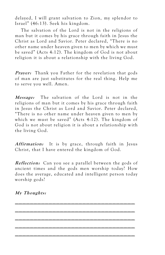delayed, I will grant salvation to Zion, my splendor to Israel" (46:13). Seek his kingdom.

The salvation of the Lord is not in the religions of man but it comes by his grace through faith in Jesus the Christ as Lord and Savior. Peter declared, "There is no other name under heaven given to men by which we must be saved" (Acts 4:12). The kingdom of God is not about religion it is about a relationship with the living God.

**Prayer:** Thank you Father for the revelation that gods of man are just substitutes for the real thing. Help me to serve you well. Amen.

**Message:** The salvation of the Lord is not in the religions of man but it comes by his grace through faith in Jesus the Christ as Lord and Savior. Peter declared, "There is no other name under heaven given to men by which we must be saved" (Acts 4:12). The kingdom of God is not about religion it is about a relationship with the living God.

**Affirmation:** It is by grace, through faith in Jesus Christ, that I have entered the kingdom of God.

**Reflection:** Can you see a parallel between the gods of ancient times and the gods men worship today? How does the average, educated and intelligent person today worship gods?

\_\_\_\_\_\_\_\_\_\_\_\_\_\_\_\_\_\_\_\_\_\_\_\_\_\_\_\_\_\_\_\_  $\overline{\phantom{a}}$  , which is a set of the set of the set of the set of the set of the set of the set of the set of the set of the set of the set of the set of the set of the set of the set of the set of the set of the set of th  $\overline{\phantom{a}}$  , where the contract of the contract of the contract of the contract of the contract of the contract of the contract of the contract of the contract of the contract of the contract of the contract of the contr  $\overline{\phantom{a}}$  , where the contract of the contract of the contract of the contract of the contract of the contract of the contract of the contract of the contract of the contract of the contract of the contract of the contr \_\_\_\_\_\_\_\_\_\_\_\_\_\_\_\_\_\_\_\_\_\_\_\_\_\_\_\_\_\_\_\_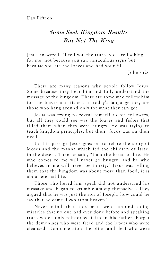## **Some Seek Kingdom Results But Not The King**

Jesus answered, "I tell you the truth, you are looking for me, not because you saw miraculous signs but because you ate the loaves and had your fill."

– John 6:26

There are many reasons why people follow Jesus. Some because they hear him and fully understand the message of the kingdom. There are some who follow him for the loaves and fishes. In today's language they are those who hang around only for what they can get.

Jesus was trying to reveal himself to his followers, but all they could see was the loaves and fishes that filled them when they were hungry. He was trying to teach kingdom principles, but their focus was on their need.

In this passage Jesus goes on to relate the story of Moses and the manna which fed the children of Israel in the desert. Then he said, "I am the bread of life. He who comes to me will never go hungry, and he who believes in me will never be thirsty." Jesus was telling them that the kingdom was about more than food; it is about eternal life.

Those who heard him speak did not understand his message and began to grumble among themselves. They argued that he was just the son of Joseph, how could he say that he came down from heaven?

Never mind that this man went around doing miracles that no one had ever done before and speaking truth which only reinforced faith in his Father. Forget the demoniacs who were freed and the lepers who were cleansed. Don't mention the blind and deaf who we re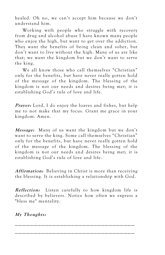healed. Oh no, we can't accept him because we don't understand him.

Working with people who struggle with recovery from drug and alcohol abuse I have known many people who enjoy the high, but want to get over the addiction. They want the benefits of being clean and sober, but don't want to live without the high. Many of us are like that; we want the kingdom but we don't want to serve the king.

We all know those who call themselves "Christian" only for the benefits, but have never really gotten hold of the message of the kingdom. The blessing of the kingdom is not our needs and desires being met; it is establishing God's rule of love and life.

**Prayer:** Lord, I do enjoy the loaves and fishes, but help me to not make that my focus. Grant me grace in your kingdom. Amen.

**Message:** Many of us want the kingdom but we don't want to serve the king. Some call themselves "Christian" only for the benefits, but have never really gotten hold of the message of the kingdom. The blessing of the kingdom is not our needs and desires being met; it is establishing God's rule of love and life.

**Affirmation:** Believing in Christ is more than receiving the blessing. It is establishing a relationship with God.

**Reflection:** Listen carefully to how kingdom life is described by believers. Notice how often we express a "bless me" mentality.

 $\overline{\phantom{a}}$  , where the contract of the contract of the contract of the contract of the contract of the contract of the contract of the contract of the contract of the contract of the contract of the contract of the contr \_\_\_\_\_\_\_\_\_\_\_\_\_\_\_\_\_\_\_\_\_\_\_\_\_\_\_\_\_\_\_\_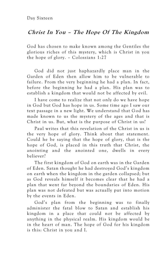#### **Christ In You – The Hope Of The Kingdom**

God has chosen to make known among the Gentiles the glorious riches of this mystery, which is Christ in you the hope of glory. – Colossians 1:27

God did not just haphazardly place man in the Garden of Eden then allow him to be vulnerable to failure. From the very beginning he had a plan. In fact, before the beginning he had a plan. His plan was to establish a kingdom that would not be affected by evil.

I have come to realize that not only do we have hope in God but God has hope in us. Some time ago I saw our text passage in a new light. We understand that G od has made known to us the mystery of the ages and that is Christ in us. But, what is the purpose of Christ in us?

Paul writes that this revelation of the Christ in us is the very hope of glory. Think about that statement. Could he be saying that the hope of glory, that is the hope of God, is placed in this truth that Christ, the anointing and the anointed one, dwells in every believer?

The first kingdom of God on earth was in the Garden of Eden. Satan thought he had destroyed God's kingdom on earth when the kingdom in the garden collapsed; but as God reveals himself it becomes clear that he had a plan that went far beyond the boundaries of Eden. His plan was not defeated but was actually put into motion by the events in Eden.

God's plan from the beginning was to finally administer the fatal blow to Satan and establish his kingdom in a place that could not be affected by anything in the physical realm. His kingdom would be in the heart of man. The hope of God for his kingdom is this: Christ in you and I.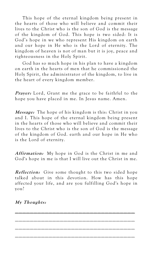This hope of the eternal kingdom being present in the hearts of those who will believe and commit their lives to the Christ who is the son of God is the message of the kingdom of God. This hope is two sided: It is God's hope in we who represent His kingdom on earth and our hope in He who is the Lord of eternity. The kingdom of heaven is not of man but it is joy, peace and righteousness in the Holy Spirit.

God has so much hope in his plan to have a kingdom on earth in the hearts of men that he commissioned the Holy Spirit, the administrator of the kingdom, to live in the heart of every kingdom member.

**Prayer:** Lord, Grant me the grace to be faithful to the hope you have placed in me. In Jesus name. Amen.

**Message:** The hope of his kingdom is this: Christ in you and I. This hope of the eternal kingdom being present in the hearts of those who will believe and commit their lives to the Christ who is the son of God is the message of the kingdom of God. earth and our hope in He who is the Lord of eternity.

**Affirmation:** My hope in God is the Christ in me and God's hope in me is that I will live out the Christ in me.

**Reflection:** Give some thought to this two sided hope talked about in this devotion. How has this hope affected your life, and are you fulfilling God's hope in you?

 $\overline{\phantom{a}}$  , which is a set of the set of the set of the set of the set of the set of the set of the set of the set of the set of the set of the set of the set of the set of the set of the set of the set of the set of th  $\overline{\phantom{a}}$  , where the contract of the contract of the contract of the contract of the contract of the contract of the contract of the contract of the contract of the contract of the contract of the contract of the contr  $\overline{\phantom{a}}$  , where the contract of the contract of the contract of the contract of the contract of the contract of the contract of the contract of the contract of the contract of the contract of the contract of the contr \_\_\_\_\_\_\_\_\_\_\_\_\_\_\_\_\_\_\_\_\_\_\_\_\_\_\_\_\_\_\_\_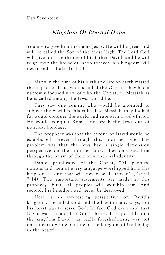### **Kingdom Of Eternal Hope**

You are to give him the name Jesus. He will be great and will be called the Son of the Most High. The Lord God will give him the throne of his father David, and he will reign over the house of Jacob forever; his kingdom will never end. – Luke 1:31-33

Many in the time of his birth and life on earth missed the impact of Jesus who is called the Christ. They had a narrowly focused view of who the Christ, or Messiah as he is called among the Jews, would be.

They saw one coming who would be anointed to subject the world to his rule. The Messiah they looked for would conquer the world and rule with a rod of iron. He would conquer Rome and break the Jews out of political bondage.

The prophecy was that the throne of David would be established forever through this anointed one. The problem was that the Jews had a single dimension perspective on the anointed one. They only saw him through the prism of their own national identity

Daniel prophesied of the Christ, "All peoples, nations and men of every language worshipped him. His kingdom is one that will never be destroyed" (Daniel 7:14). Two important statements are made in this prophecy. First, All peoples will worship him. And second, his kingdom will never be destroyed.

Here is an interesting perspective on David's kingdom. He failed God and the law in many ways, but his heart was to serve God. In fact God even said that David was a man after God's heart. Is it possible that the kingdom David was really foreshadowing was not one of earthly rule but one of the kingdom of God being in the heart?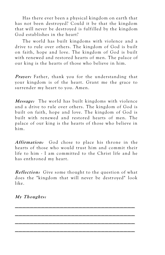Has there ever been a physical kingdom on earth that has not been destroyed? Could it be that the kingdom that will never be destroyed is fulfilled by the kingdom God establishes in the heart?

The world has built kingdoms with violence and a drive to rule over others. The kingdom of God is built on faith, hope and love. The kingdom of God is built with renewed and restored hearts of men. The pala ce of our king is the hearts of those who believe in him.

**Prayer:** Father, thank you for the understanding that your kingdom is of the heart. Grant me the grace to surrender my heart to you. Amen.

**Message:** The world has built kingdoms with violence and a drive to rule over others. The kingdom of God is built on faith, hope and love. The kingdom of God is built with renewed and restored hearts of men. The palace of our king is the hearts of those who believe in him.

**Affirmation:** God chose to place his throne in the hearts of those who would trust him and commit their life to him - I am committed to the Christ life and he has enthroned my heart.

**Reflection:** Give some thought to the question of what does the "kingdom that will never be destroyed" look like.

\_\_\_\_\_\_\_\_\_\_\_\_\_\_\_\_\_\_\_\_\_\_\_\_\_\_\_\_\_\_\_\_  $\overline{\phantom{a}}$  , which is a set of the set of the set of the set of the set of the set of the set of the set of the set of the set of the set of the set of the set of the set of the set of the set of the set of the set of th  $\overline{\phantom{a}}$  , where  $\overline{\phantom{a}}$  , where  $\overline{\phantom{a}}$  ,  $\overline{\phantom{a}}$  ,  $\overline{\phantom{a}}$  ,  $\overline{\phantom{a}}$  ,  $\overline{\phantom{a}}$  ,  $\overline{\phantom{a}}$  ,  $\overline{\phantom{a}}$  ,  $\overline{\phantom{a}}$  ,  $\overline{\phantom{a}}$  ,  $\overline{\phantom{a}}$  ,  $\overline{\phantom{a}}$  ,  $\overline{\phantom{a}}$  ,  $\overline{\phantom{a}}$  ,  $\overline{\phantom{a}}$  , where  $\overline{\phantom{a}}$  , where  $\overline{\phantom{a}}$  ,  $\overline{\phantom{a}}$  ,  $\overline{\phantom{a}}$  ,  $\overline{\phantom{a}}$  ,  $\overline{\phantom{a}}$  ,  $\overline{\phantom{a}}$  ,  $\overline{\phantom{a}}$  ,  $\overline{\phantom{a}}$  ,  $\overline{\phantom{a}}$  ,  $\overline{\phantom{a}}$  ,  $\overline{\phantom{a}}$  ,  $\overline{\phantom{a}}$  ,  $\overline{\phantom{a}}$  ,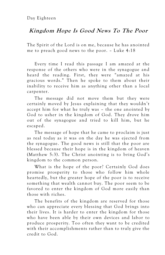#### **Kingdom Hope Is Good News To The Poor**

The Spirit of the Lord is on me, because he has anointed me to preach good news to the poor. – Luke 4:18

Every time I read this passage I am amazed at the response of the others who were in the synagogue and heard the reading. First, they were "amazed at his gracious words." Then he spoke to them about their inability to receive him as anything other than a local carpenter.

The message did not move them but they were certainly moved by Jesus explaining that they wouldn't accept him for what he truly was – the one anointed by God to usher in the kingdom of God. They drove him out of the synagogue and tried to kill him, but he escaped.

The message of hope that he came to proclaim is just as real today as it was on the day he was ejected from the synagogue. The good news is still that the poor are blessed because their hope is in the kingdom of heaven (Matthew 5:3). The Christ anointing is to bring God's kingdom to the common person.

What is the hope of the poor? Certainly God does promise prosperity to those who follow him whole heartedly, but the greater hope of the poor is to receive something that wealth cannot buy. The poor seem to be favored to enter the kingdom of God more easily than those with riches.

The benefits of the kingdom are reserved for those who can appreciate every blessing that God brings into their lives. It is harder to enter the kingdom for those who have been able by their own devices and labor to produce prosperity. Too often they want to be credited with their accomplishments rather than to truly give the credit to God.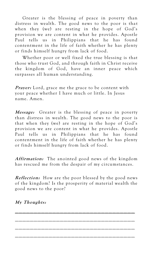Greater is the blessing of peace in poverty than distress in wealth. The good news to the poor is that when they (we) are resting in the hope of God's provision we are content in what he provides. Apostle Paul tells us in Philippians that he has found contentment in the life of faith whether he has plenty or finds himself hungry from lack of food.

Whether poor or well fixed the true blessing is that those who trust God, and through faith in Christ receive the kingdom of God, have an inner peace which surpasses all human understanding.

**Prayer:** Lord, grace me the grace to be content with your peace whether I have much or little. In Jesus name. Amen.

**Message:** Greater is the blessing of peace in poverty than distress in wealth. The good news to the poor is that when they (we) are resting in the hope of God's provision we are content in what he provides. Apostle Paul tells us in Philippians that he has found contentment in the life of faith whether he has plenty or finds himself hungry from lack of food.

**Affirmation:** The anointed good news of the kingdom has rescued me from the despair of my circumstances.

**Reflection:** How are the poor blessed by the good news of the kingdom? Is the prosperity of material wealth the good news to the poor?

 $\overline{\phantom{a}}$  , which is a set of the set of the set of the set of the set of the set of the set of the set of the set of the set of the set of the set of the set of the set of the set of the set of the set of the set of th  $\overline{\phantom{a}}$  , where  $\overline{\phantom{a}}$  , where  $\overline{\phantom{a}}$  ,  $\overline{\phantom{a}}$  ,  $\overline{\phantom{a}}$  ,  $\overline{\phantom{a}}$  ,  $\overline{\phantom{a}}$  ,  $\overline{\phantom{a}}$  ,  $\overline{\phantom{a}}$  ,  $\overline{\phantom{a}}$  ,  $\overline{\phantom{a}}$  ,  $\overline{\phantom{a}}$  ,  $\overline{\phantom{a}}$  ,  $\overline{\phantom{a}}$  ,  $\overline{\phantom{a}}$  ,  $\overline{\phantom{a}}$  , where  $\overline{\phantom{a}}$  , where  $\overline{\phantom{a}}$  ,  $\overline{\phantom{a}}$  ,  $\overline{\phantom{a}}$  ,  $\overline{\phantom{a}}$  ,  $\overline{\phantom{a}}$  ,  $\overline{\phantom{a}}$  ,  $\overline{\phantom{a}}$  ,  $\overline{\phantom{a}}$  ,  $\overline{\phantom{a}}$  ,  $\overline{\phantom{a}}$  ,  $\overline{\phantom{a}}$  ,  $\overline{\phantom{a}}$  ,  $\overline{\phantom{a}}$  , \_\_\_\_\_\_\_\_\_\_\_\_\_\_\_\_\_\_\_\_\_\_\_\_\_\_\_\_\_\_\_\_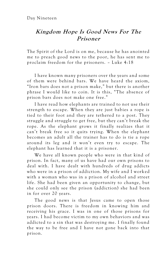### **Kingdom Hope Is Good News For The Prisoner**

The Spirit of the Lord is on me, because he has anointed me to preach good news to the poor, he has sent me to proclaim freedom for the prisoners. – Luke 4:18

I have known many prisoners over the years and some of them were behind bars. We have heard the axiom, "Iron bars does not a prison make," but there is another phrase I would like to coin. It is this, "The absence of prison bars does not make one free."

I have read how elephants are trained to not use their strength to escape. When they are just babies a rope is tied to their foot and they are tethered to a post. They struggle and struggle to get free, but they can't break the rope. As the elephant grows it finally realizes that it can't break free so it quits trying. When the elephant becomes an adult all the trainer has to do is tie a rope around its leg and it won't even try to escape. The elephant has learned that it is a prisoner.

We have all known people who were in that kind of prison. In fact, many of us have had our own prisons to deal with. I have dealt with hundreds of drug addicts who were in a prison of addiction. My wife and I work ed with a woman who was in a prison of alcohol and street life. She had been given an opportunity to change, but she could only see the prison (addiction) she had been in for over 20 years.

The good news is that Jesus came to open those prison doors. There is freedom in knowing him and receiving his grace. I was in one of those prisons for years. I had become victim to my own behaviors and was addicted to a sin that was destroying me. I finally found the way to be free and I have not gone back into that prison.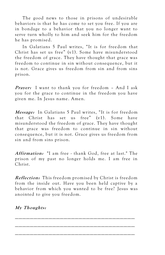The good news to those in prisons of undesirable behaviors is that he has come to set you free. If you are in bondage to a behavior that you no longer want to serve turn wholly to him and seek him for the freedom he has promised.

In Galatians 5 Paul writes, "It is for free dom that Christ has set us free" (v1). Some have misunderstood the freedom of grace. They have thought that grace was freedom to continue in sin without consequence, but it is not. Grace gives us freedom from sin and from sins prison.

**Prayer:** I want to thank you for freedom – And I ask you for the grace to continue in the freedom you have given me. In Jesus name. Amen.

Message: In Galatians 5 Paul writes, "It is for freedom that Christ has set us free" (v1). Some have misunderstood the freedom of grace. They have thought that grace was freedom to continue in sin without consequence, but it is not. Grace gives us freedom from sin and from sins prison.

**Affirmation:** "I am free - thank God, free at last." The prison of my past no longer holds me. I am free in Christ.

**Reflection:** This freedom promised by Christ is freedom from the inside out. Have you been held captive by a behavior from which you wanted to be free? Jesus was anointed to give you freedom.

 $\overline{\phantom{a}}$  , where  $\overline{\phantom{a}}$  , where  $\overline{\phantom{a}}$  ,  $\overline{\phantom{a}}$  ,  $\overline{\phantom{a}}$  ,  $\overline{\phantom{a}}$  ,  $\overline{\phantom{a}}$  ,  $\overline{\phantom{a}}$  ,  $\overline{\phantom{a}}$  ,  $\overline{\phantom{a}}$  ,  $\overline{\phantom{a}}$  ,  $\overline{\phantom{a}}$  ,  $\overline{\phantom{a}}$  ,  $\overline{\phantom{a}}$  ,  $\overline{\phantom{a}}$  ,  $\overline{\phantom{a}}$  , where  $\overline{\phantom{a}}$  , where  $\overline{\phantom{a}}$  ,  $\overline{\phantom{a}}$  ,  $\overline{\phantom{a}}$  ,  $\overline{\phantom{a}}$  ,  $\overline{\phantom{a}}$  ,  $\overline{\phantom{a}}$  ,  $\overline{\phantom{a}}$  ,  $\overline{\phantom{a}}$  ,  $\overline{\phantom{a}}$  ,  $\overline{\phantom{a}}$  ,  $\overline{\phantom{a}}$  ,  $\overline{\phantom{a}}$  ,  $\overline{\phantom{a}}$  , \_\_\_\_\_\_\_\_\_\_\_\_\_\_\_\_\_\_\_\_\_\_\_\_\_\_\_\_\_\_\_\_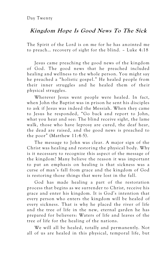## **Kingdom Hope Is Good News To The Sick**

The Spirit of the Lord is on me for he has anointed me to preach… recovery of sight for the blind. – Luke 4:18

Jesus came preaching the good news of the kingdom of God. The good news that he preached included healing and wellness to the whole person. You might say he preached a "holistic gospel." He healed people from their inner struggles and he healed them of their physical struggles.

Wherever Jesus went people were healed. In fact, when John the Baptist was in prison he sent his disciples to ask if Jesus was indeed the Messiah. When they came to Jesus he responded, "Go back and report to John, what you hear and see: The blind receive sight, the lame walk, those who have leprosy are cured, the deaf hear, the dead are raised, and the good news is preached to the poor" (Matthew 11:4-5).

The message to John was clear. A major sign of the Christ was healing and restoring the physical body. Why is it necessary to recognize this aspect of the message of the kingdom? Many believe the reason it was important to put an emphasis on healing is that sickness was a curse of man's fall from grace and the kingdom of God is restoring those things that were lost in the fall.

God has made healing a part of the restoration process that begins as we surrender to Christ, receive his grace and enter his kingdom. It is God's intention that every person who enters the kingdom will be healed of every sickness. That is why he placed the river of life and the tree of life in the new, eternal garden he has prepared for believers: Waters of life and leaves of the tree of life for the healing of the nations.

We will all be healed, totally and permanently. Not all of us are healed in this physical, temporal life, but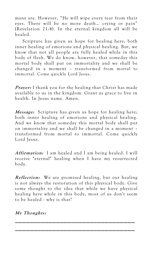many are. However, "He will wipe every tear from their eyes. There will be no more death… crying or pain" (Revelation 21:4). In the eternal kingdom all will be healed.

Scripture has given us hope for healing here; both inner healing of emotions and physical healing. But, we know that not all people are fully healed while in this body of flesh. We do know, however, that someday this mortal body shall put on immortality and we shall be changed in a moment – transformed from mortal to immortal. Come quickly Lord Jesus.

**Prayer:** I thank you for the healing that Christ has made available to us in the kingdom. Grant us grace to live in health. In Jesus name. Amen.

**Message:** Scripture has given us hope for healing here; both inner healing of emotions and physical healing. And we know that someday this mortal body shall put on immortality and we shall be changed in a moment – transformed from mortal to immortal. Come quickly Lord Jesus.

**Affirmation:** I am healed and I am being healed. I will receive "eternal" healing when I have my resurrected body.

**Reflection:** We are promised healing, but our healing is not always the restoration of this physical body. Give some thought to the idea that while we have physical healing here while in this body, most of us don't seem to be healed - why is that?

\_\_\_\_\_\_\_\_\_\_\_\_\_\_\_\_\_\_\_\_\_\_\_\_\_\_\_\_\_\_\_\_  $\overline{\phantom{a}}$  , which is a set of the set of the set of the set of the set of the set of the set of the set of the set of the set of the set of the set of the set of the set of the set of the set of the set of the set of th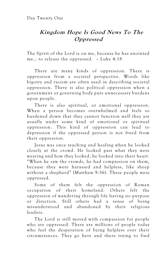## **Kingdom Hope Is Good News To The Oppressed**

The Spirit of the Lord is on me, because he has anointed me… to release the oppressed. – Luke 4:18

There are many kinds of oppression. There is oppression from a societal perspective. Words like bigotry and racism are often used in describing societal oppression. There is also political oppression when a government or governing body puts unnecessary burdens upon people.

There is also spiritual, or emotional oppression. When a person becomes overwhelmed and feels so burdened down that they cannot function well they are usually under some kind of emotional or spiritual oppression. This kind of oppression can lead to depression if the oppressed person is not freed from their oppression.

Jesus was once teaching and healing when he looked closely at the crowd. He looked past what they were wearing and how they looked, he looked into their heart. "When he saw the crowds, he had compassion on them, because they were harassed and helpless, like sheep without a shepherd" (Matthew 9:36). These people were oppressed.

Some of them felt the oppression of Roman occupation of their homeland. Others felt the oppression of wandering through life having no purpose or direction. Still others had a sense of being misunderstood and abandoned by their religious leaders.

The Lord is still moved with compassion for people who are oppressed. There are millions of people today who feel the desperation of being helpless over their circumstances. They go here and there trying to find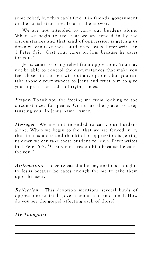some relief, but they can't find it in friends, government or the social structure. Jesus is the answer.

We are not intended to carry our burdens alone. When we begin to feel that we are fenced in by the circumstances and that kind of oppression is getting us down we can take these burdens to Jesus. Peter writes in 1 Peter 5:7, "Cast your cares on him because he cares for you."

Jesus came to bring relief from oppression. You may not be able to control the circumstances that make you feel closed in and left without any options, but you can take those circumstances to Jesus and trust him to give you hope in the midst of trying times.

**Prayer:** Thank you for freeing me from looking to the circumstances for peace. Grant me the grace to keep trusting you. In Jesus name. Amen.

**Message:** We are not intended to carry our burdens alone. When we begin to feel that we are fenced in by the circumstances and that kind of oppression is getting us down we can take these burdens to Jesus. Peter writes in 1 Peter 5:7, "Cast your cares on him because he cares for you."

**Affirmation:** I have released all of my anxious thoughts to Jesus because he cares enough for me to take them upon himself.

**Reflection:** This devotion mentions several kinds of oppression; societal, governmental and emotional. How do you see the gospel affecting each of those?

 $\overline{\phantom{a}}$  , where  $\overline{\phantom{a}}$  , where  $\overline{\phantom{a}}$  ,  $\overline{\phantom{a}}$  ,  $\overline{\phantom{a}}$  ,  $\overline{\phantom{a}}$  ,  $\overline{\phantom{a}}$  ,  $\overline{\phantom{a}}$  ,  $\overline{\phantom{a}}$  ,  $\overline{\phantom{a}}$  ,  $\overline{\phantom{a}}$  ,  $\overline{\phantom{a}}$  ,  $\overline{\phantom{a}}$  ,  $\overline{\phantom{a}}$  ,  $\overline{\phantom{a}}$  , \_\_\_\_\_\_\_\_\_\_\_\_\_\_\_\_\_\_\_\_\_\_\_\_\_\_\_\_\_\_\_\_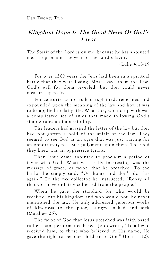#### **Kingdom Hope Is The Good News Of God's Favor**

The Spirit of the Lord is on me, because he has anointed me… to proclaim the year of the Lord's favor.

- Luke 4:18-19

For over 1500 years the Jews had been in a spiritual battle that they were losing. Moses gave them the Law, God's will for them revealed, but they could never measure up to it.

For centuries scholars had explained, redefined and expounded upon the meaning of the law and how it was to be applied to daily life. What they wound up with was a complicated set of rules that made following God's simple rules an impossibility.

The leaders had grasped the letter of the law but they had not gotten a hold of the spirit of the law. They seemed to see God as an ogre that was just waiting for an opportunity to cast a judgment upon them. The God they knew was an oppressive tyrant.

Then Jesus came anointed to proclaim a period of favor with God. What was really interesting was the message of grace, or favor, that he preached. To the harlot he simply said, "Go home and don't do this again." To the tax collector he instructed, "Repay all that you have unfairly collected from the people."

When he gave the standard for who would be received into his kingdom and who would not, he never mentioned the law. He only addressed generous works of kindness to the poor, hungry, naked and sick (Matthew 25).

The favor of God that Jesus preached was faith based rather than performance based. John wrote, "To all who received him, to those who believed in His name, He gave the right to become children of God" (John 1:12).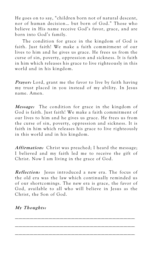He goes on to say, "children born not of natural descent, nor of human decision… but born of God." Those who believe in His name receive God's favor, grace, and are born into God's family.

The condition for grace in the kingdom of God is faith. Just faith! We make a faith commitment of our lives to him and he gives us grace. He frees us from the curse of sin, poverty, oppression and sickness. It is faith in him which releases his grace to live righteously in this world and in his kingdom.

**Prayer:** Lord, grant me the favor to live by faith having my trust placed in you instead of my ability. In Jesus name. Amen.

**Message:** The condition for grace in the kingdom of God is faith. Just faith! We make a faith commitment of our lives to him and he gives us grace. He frees us from the curse of sin, poverty, oppression and sickness. It is faith in him which releases his grace to live righteously in this world and in his kingdom.

**Affirmation:** Christ was preached; I heard the message; I believed and my faith led me to receive the gift of Christ. Now I am living in the grace of God.

**Reflection:** Jesus introduced a new era. The focus of the old era was the law which continually reminded us of our shortcomings. The new era is grace, the favor of God, available to all who will believe in Jesus as the Christ, the Son of God.

 $\overline{\phantom{a}}$  , where  $\overline{\phantom{a}}$  , where  $\overline{\phantom{a}}$  ,  $\overline{\phantom{a}}$  ,  $\overline{\phantom{a}}$  ,  $\overline{\phantom{a}}$  ,  $\overline{\phantom{a}}$  ,  $\overline{\phantom{a}}$  ,  $\overline{\phantom{a}}$  ,  $\overline{\phantom{a}}$  ,  $\overline{\phantom{a}}$  ,  $\overline{\phantom{a}}$  ,  $\overline{\phantom{a}}$  ,  $\overline{\phantom{a}}$  ,  $\overline{\phantom{a}}$  ,  $\overline{\phantom{a}}$  , where  $\overline{\phantom{a}}$  , where  $\overline{\phantom{a}}$  ,  $\overline{\phantom{a}}$  ,  $\overline{\phantom{a}}$  ,  $\overline{\phantom{a}}$  ,  $\overline{\phantom{a}}$  ,  $\overline{\phantom{a}}$  ,  $\overline{\phantom{a}}$  ,  $\overline{\phantom{a}}$  ,  $\overline{\phantom{a}}$  ,  $\overline{\phantom{a}}$  ,  $\overline{\phantom{a}}$  ,  $\overline{\phantom{a}}$  ,  $\overline{\phantom{a}}$  , \_\_\_\_\_\_\_\_\_\_\_\_\_\_\_\_\_\_\_\_\_\_\_\_\_\_\_\_\_\_\_\_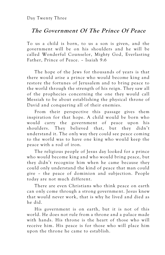#### **The Government Of The Prince Of Peace**

To us a child is born, to us a son is given, and the government will be on his shoulders and he will be called Wonderful Counselor, Mighty God, Everlasting Father, Prince of Peace. – Isaiah 9:6

The hope of the Jews for thousands of years is that there would arise a prince who would become king and restore the fortunes of Jerusalem and to bring peace to the world through the strength of his reign. They saw all of the prophecies concerning the one they would call Messiah to be about establishing the physical throne of David and conquering all of their enemies.

From their perspective this passage gives them inspiration for that hope. A child would be born who would carry the government of peace upon his shoulders. They believed that, but they didn't understand it. The only way they could see peace coming to the world was to have one king who would keep the peace with a rod of iron.

The religious people of Jesus day looked for a prince who would become king and who would bring peace, but they didn't recognize him when he came because they could only understand the kind of peace that man could give – the peace of dominion and subjection. People today are not much different.

There are even Christians who think peace on earth can only come through a strong government. Jesus knew that would never work, that is why he lived and died as he did.

His government is on earth, but it is not of this world. He does not rule from a throne and a palace made with hands. His throne is the heart of those who will receive him. His peace is for those who will place him upon the throne he came to establish.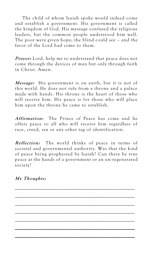The child of whom Isaiah spoke would indeed come and establish a government. His government is called the kingdom of God. His message confused the religious leaders, but the common people understood him well. The poor were given hope; the blind could see – and the favor of the Lord had come to them.

**Prayer:** Lord, help me to understand that peace does not come through the devices of man but only through faith in Christ. Amen.

**Message:** His government is on earth, but it is not of this world. He does not rule from a throne and a palace made with hands. His throne is the heart of those who will receive him. His peace is for those who will place him upon the throne he came to establish.

**Affirmation:** The Prince of Peace has come and he offers peace to all who will receive him regardless of race, creed, sex or any other tag of identification.

**Reflection:** The world thinks of peace in terms of societal and governmental authority. Was that the kind of peace being prophesied by Isaiah? Can there be true peace at the hands of a government or an un-regenerated society?

 $\overline{\phantom{a}}$  , which is a set of the set of the set of the set of the set of the set of the set of the set of the set of the set of the set of the set of the set of the set of the set of the set of the set of the set of th  $\overline{\phantom{a}}$  , which is a set of the set of the set of the set of the set of the set of the set of the set of the set of the set of the set of the set of the set of the set of the set of the set of the set of the set of th  $\overline{\phantom{a}}$  , where  $\overline{\phantom{a}}$  , where  $\overline{\phantom{a}}$  ,  $\overline{\phantom{a}}$  ,  $\overline{\phantom{a}}$  ,  $\overline{\phantom{a}}$  ,  $\overline{\phantom{a}}$  ,  $\overline{\phantom{a}}$  ,  $\overline{\phantom{a}}$  ,  $\overline{\phantom{a}}$  ,  $\overline{\phantom{a}}$  ,  $\overline{\phantom{a}}$  ,  $\overline{\phantom{a}}$  ,  $\overline{\phantom{a}}$  ,  $\overline{\phantom{a}}$  , \_\_\_\_\_\_\_\_\_\_\_\_\_\_\_\_\_\_\_\_\_\_\_\_\_\_\_\_\_\_\_\_ \_\_\_\_\_\_\_\_\_\_\_\_\_\_\_\_\_\_\_\_\_\_\_\_\_\_\_\_\_\_\_\_  $\overline{\phantom{a}}$  , which is a set of the set of the set of the set of the set of the set of the set of the set of the set of the set of the set of the set of the set of the set of the set of the set of the set of the set of th  $\overline{\phantom{a}}$  , where the contract of the contract of the contract of the contract of the contract of the contract of the contract of the contract of the contract of the contract of the contract of the contract of the contr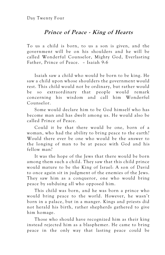#### **Prince of Peace - King of Hearts**

To us a child is born, to us a son is given, and the government will be on his shoulders and he will be called Wonderful Counselor, Mighty God, Everlasting Father, Prince of Peace. – Isaiah 9:6

Isaiah saw a child who would be born to be king. He saw a child upon whose shoulders the government would rest. This child would not be ordinary, but rather would be so extraordinary that people would remark concerning his wisdom and call him Wonderful Counselor.

Some would declare him to be God himself who has become man and has dwelt among us. He would also be called Prince of Peace.

Could it be that there would be one, born of a woman, who had the ability to bring peace to the earth? Would there ever be one who would be the answer to the longing of man to be at peace with God and his fellow man?

It was the hope of the Jews that there would be born among them such a child. They saw that this child prince would mature to be the King of Israel: A son of David to once again sit in judgment of the enemies of the Jews. They saw him as a conqueror, one who would bring peace by subduing all who opposed him.

This child was born, and he was born a prince who would bring peace to the world. However, he wasn't born in a palace, but in a manger. Kings and priests did not herald his birth, rather shepherds gathered to give him homage.

Those who should have recognized him as their king instead rejected him as a blasphemer. He came to bring peace in the only way that lasting peace could be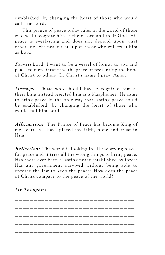established; by changing the heart of those who would call him Lord.

This prince of peace today rules in the world of those who will recognize him as their Lord and their God. His peace is everlasting and does not depend upon what others do; His peace rests upon those who will trust him as Lord.

**Prayer:** Lord, I want to be a vessel of honor to you and peace to men. Grant me the grace of presenting the hope of Christ to others. In Christ's name I pray. Amen.

**Message:** Those who should have recognized him as their king instead rejected him as a blasphemer. He came to bring peace in the only way that lasting peace could be established; by changing the heart of those who would call him Lord.

**Affirmation:** The Prince of Peace has become King of my heart as I have placed my faith, hope and trust in Him.

**Reflection:** The world is looking in all the wrong places for peace and it tries all the wrong things to bring peace. Has there ever been a lasting peace established by force? Has any government survived without being able to enforce the law to keep the peace? How does the peace of Christ compare to the peace of the world?

 $\overline{\phantom{a}}$  , which is a set of the set of the set of the set of the set of the set of the set of the set of the set of the set of the set of the set of the set of the set of the set of the set of the set of the set of th  $\overline{\phantom{a}}$  , where the contract of the contract of the contract of the contract of the contract of the contract of the contract of the contract of the contract of the contract of the contract of the contract of the contr  $\overline{\phantom{a}}$  , where the contract of the contract of the contract of the contract of the contract of the contract of the contract of the contract of the contract of the contract of the contract of the contract of the contr \_\_\_\_\_\_\_\_\_\_\_\_\_\_\_\_\_\_\_\_\_\_\_\_\_\_\_\_\_\_\_\_ \_\_\_\_\_\_\_\_\_\_\_\_\_\_\_\_\_\_\_\_\_\_\_\_\_\_\_\_\_\_\_\_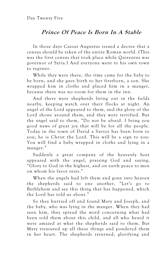#### **Prince Of Peace Is Born In A Stable**

In those days Caesar Augustus issued a decree that a census should be taken of the entire Roman world. (This was the first census that took place while Quirenius was governor of Syria.) And everyone went to his own town to register.

While they were there, the time came for the baby to be born, and she gave birth to her firstborn, a son. She wrapped him in cloths and placed him in a manger, because there was no room for them in the inn.

And there were shepherds living out in the fields nearby, keeping watch over their flocks at night. An angel of the Lord appeared to them, and the glory of the Lord shone around them, and they were terrified. But the angel said to them, "Do not be afraid. I bring you good news of great joy that will be for all the people. Today in the town of David a Savior has been born to you; he is Christ the Lord. This will be a sign to you: You will find a baby wrapped in cloths and lying in a manger."

Suddenly a great company of the heavenly host appeared with the angel, praising God and saying, "Glory to God in the highest, and on earth peace to men on whom his favor rests."

When the angels had left them and gone into heaven the shepherds said to one another, "Let's go to Bethlehem and see this thing that has happened, which the Lord has told us about."

So they hurried off and found Mary and Joseph, and the baby, who was lying in the manger. When they had seen him, they spread the word concerning what had been told them about this child, and all who heard it were amazed at what the shepherds said to them. But Mary treasured up all these things and pondered them in her heart. The shepherds returned, glorifying and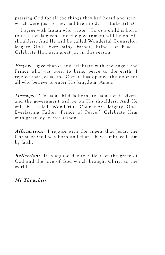praising God for all the things they had heard and seen, which were just as they had been told. – Luke 2:1-20

I agree with Isaiah who wrote, "To us a child is born, to us a son is given, and the government will be on His shoulders. And He will be called Wonderful Counselor, Mighty God, Everlasting Father, Prince of Peace." Celebrate Him with great joy in this season.

**Prayer:** I give thanks and celebrate with the angels the Prince who was born to bring peace to the earth. I rejoice that Jesus, the Christ, has opened the door for all who believe to enter His kingdom. Amen.

**Message:** "To us a child is born, to us a son is given, and the government will be on His shoulders. And He will be called Wonderful Counselor, Mighty God, Everlasting Father, Prince of Peace." Celebrate Him with great joy in this season.

**Affirmation:** I rejoice with the angels that Jesus, the Christ of God was born and that I have embraced him by faith.

**Reflection:** It is a good day to reflect on the grace of God and the love of God which brought Christ to the world.

 $\overline{\phantom{a}}$  , which is a set of the set of the set of the set of the set of the set of the set of the set of the set of the set of the set of the set of the set of the set of the set of the set of the set of the set of th  $\overline{\phantom{a}}$  , where the contract of the contract of the contract of the contract of the contract of the contract of the contract of the contract of the contract of the contract of the contract of the contract of the contr \_\_\_\_\_\_\_\_\_\_\_\_\_\_\_\_\_\_\_\_\_\_\_\_\_\_\_\_\_\_\_\_ \_\_\_\_\_\_\_\_\_\_\_\_\_\_\_\_\_\_\_\_\_\_\_\_\_\_\_\_\_\_\_\_  $\overline{\phantom{a}}$  , which is a set of the set of the set of the set of the set of the set of the set of the set of the set of the set of the set of the set of the set of the set of the set of the set of the set of the set of th  $\overline{\phantom{a}}$  , where  $\overline{\phantom{a}}$  , where  $\overline{\phantom{a}}$  ,  $\overline{\phantom{a}}$  ,  $\overline{\phantom{a}}$  ,  $\overline{\phantom{a}}$  ,  $\overline{\phantom{a}}$  ,  $\overline{\phantom{a}}$  ,  $\overline{\phantom{a}}$  ,  $\overline{\phantom{a}}$  ,  $\overline{\phantom{a}}$  ,  $\overline{\phantom{a}}$  ,  $\overline{\phantom{a}}$  ,  $\overline{\phantom{a}}$  ,  $\overline{\phantom{a}}$  ,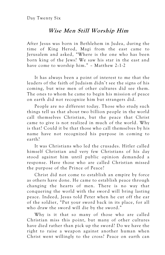#### **Wise Men Still Worship Him**

After Jesus was born in Bethlehem in Judea, during the time of King Herod, Magi from the east came to Jerusalem and asked, "Where is the one who has been born king of the Jews? We saw his star in the east and have come to worship him." – Matthew 2:1-2

It has always been a point of interest to me that the leaders of the faith of Judaism didn't see the signs of his coming, but wise men of other cultures did see them. The ones to whom he came to begin his mission of peace on earth did not recognize him but strangers did.

People are no different today. Those who study such things tell us that about two billion people in the world call themselves Christian, but the peace that Christ came to give is not realized in much of the world. Why is that? Could it be that those who call themselves by his name have not recognized his purpose in coming to earth?

It was Christians who led the crusades. Hitler called himself Christian and very few Christians of his day stood against him until public opinion demanded a response. Have those who are called Christian missed the purpose of the Prince of Peace?

Christ did not come to establish an empire by force as others have done. He came to establish peace through changing the hearts of men. There is no way that conquering the world with the sword will bring lasting peace. Indeed, Jesus told Peter when he cut off the ear of the soldier, "Put your sword back in its place, for all who draw the sword will die by the sword."

Why is it that so many of those who are called Christian miss this point, but many of other cultures have died rather than pick up the sword? Do we have the right to raise a weapon against another human when Christ went willingly to the cross? Peace on earth can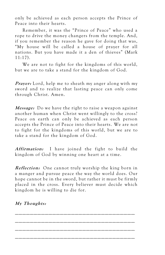only be achieved as each person accepts the Prince of Peace into their hearts.

Remember, it was the "Prince of Peace" who used a rope to drive the money changers from the temple. And, if you remember the reason he gave for doing that was, "My house will be called a house of prayer for all nations. But you have made it a den of thieves" (Mark 11:17).

We are not to fight for the kingdoms of this world, but we are to take a stand for the kingdom of God.

**Prayer:** Lord, help me to sheath my anger along with my sword and to realize that lasting peace can only come through Christ. Amen.

**Message:** Do we have the right to raise a weapon against another human when Christ went willingly to the cross? Peace on earth can only be achieved as each person accepts the Prince of Peace into their hearts. We are not to fight for the kingdoms of this world, but we are to take a stand for the kingdom of God.

**Affirmation:** I have joined the fight to build the kingdom of God by winning one heart at a time.

**Reflection:** One cannot truly worship the king born in a manger and pursue peace the way the world does. Our hope cannot be in the sword, but rather it must be firmly placed in the cross. Every believer must decide which kingdom he is willing to die for.

 $\overline{\phantom{a}}$  , which is a set of the set of the set of the set of the set of the set of the set of the set of the set of the set of the set of the set of the set of the set of the set of the set of the set of the set of th  $\overline{\phantom{a}}$  , where  $\overline{\phantom{a}}$  , where  $\overline{\phantom{a}}$  ,  $\overline{\phantom{a}}$  ,  $\overline{\phantom{a}}$  ,  $\overline{\phantom{a}}$  ,  $\overline{\phantom{a}}$  ,  $\overline{\phantom{a}}$  ,  $\overline{\phantom{a}}$  ,  $\overline{\phantom{a}}$  ,  $\overline{\phantom{a}}$  ,  $\overline{\phantom{a}}$  ,  $\overline{\phantom{a}}$  ,  $\overline{\phantom{a}}$  ,  $\overline{\phantom{a}}$  ,  $\overline{\phantom{a}}$  , where  $\overline{\phantom{a}}$  , where  $\overline{\phantom{a}}$  ,  $\overline{\phantom{a}}$  ,  $\overline{\phantom{a}}$  ,  $\overline{\phantom{a}}$  ,  $\overline{\phantom{a}}$  ,  $\overline{\phantom{a}}$  ,  $\overline{\phantom{a}}$  ,  $\overline{\phantom{a}}$  ,  $\overline{\phantom{a}}$  ,  $\overline{\phantom{a}}$  ,  $\overline{\phantom{a}}$  ,  $\overline{\phantom{a}}$  ,  $\overline{\phantom{a}}$  , \_\_\_\_\_\_\_\_\_\_\_\_\_\_\_\_\_\_\_\_\_\_\_\_\_\_\_\_\_\_\_\_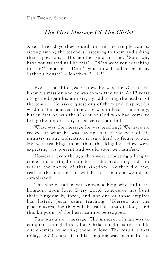#### **The First Message Of The Christ**

After three days they found him in the temple courts, sitting among the teachers, listening to them and asking them questions… His mother said to him, "Son, why have you treated us like this?... "Why were you searching for me?" he asked. "Didn't you know I had to be in my Father's house?" – Matthew 2:41-51

Even as a child Jesus knew he was the Christ. He knew his mission and he was committed to it. At 12 years of age he began his ministry by addressing the leaders of the temple. He asked questions of them and displayed a wisdom that amazed them. He was indeed an anomaly, but in fact he was the Christ of God who had come to bring the opportunity of peace to mankind.

What was the message he was teaching? We have no record of what he was saying, but if the rest of his ministry is any indication it isn't hard to figure it out. He was teaching them that the kingdom they were expecting was present and would soon be manifest.

However, even though they were expecting a king to come and a kingdom to be established, they did not realize the nature of that kingdom. Neither did they realize the manner in which the kingdom would be established.

The world had never known a king who built his kingdom upon love. Every world conqueror has built their kingdom by force, and not one of those empires has lasted. Jesus came teaching, "Blessed are the peacemakers, for they will be called sons of God," and this kingdom of the heart cannot be stopped.

This was a new message. The mindset of man was to conquer through force, but Christ taught us to humble our enemies by serving them in love. The result is that today, 2000 years after his kingdom was begun in the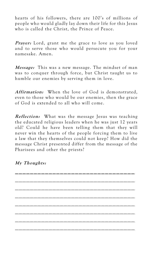hearts of his followers, there are 100's of millions of people who would gladly lay down their life for this Jesus who is called the Christ, the Prince of Peace.

**Prayer:** Lord, grant me the grace to love as you loved and to serve those who would persecute you for your namesake. Amen.

**Message:** This was a new message. The mindset of man was to conquer through force, but Christ taught us to humble our enemies by serving them in love.

**Affirmation:** When the love of God is demonstrated, even to those who would be our enemies, then the grace of God is extended to all who will come.

**Reflection:** What was the message Jesus was teaching the educated religious leaders when he was just 12 years old? Could he have been telling them that they will never win the hearts of the people forcing them to live a law that they themselves could not keep? How did the message Christ presented differ from the message of the Pharisees and other the priests?

\_\_\_\_\_\_\_\_\_\_\_\_\_\_\_\_\_\_\_\_\_\_\_\_\_\_\_\_\_\_\_\_  $\overline{\phantom{a}}$  , which is a set of the set of the set of the set of the set of the set of the set of the set of the set of the set of the set of the set of the set of the set of the set of the set of the set of the set of th  $\overline{\phantom{a}}$  , which is a set of the set of the set of the set of the set of the set of the set of the set of the set of the set of the set of the set of the set of the set of the set of the set of the set of the set of th  $\overline{\phantom{a}}$  , where  $\overline{\phantom{a}}$  , where  $\overline{\phantom{a}}$  ,  $\overline{\phantom{a}}$  ,  $\overline{\phantom{a}}$  ,  $\overline{\phantom{a}}$  ,  $\overline{\phantom{a}}$  ,  $\overline{\phantom{a}}$  ,  $\overline{\phantom{a}}$  ,  $\overline{\phantom{a}}$  ,  $\overline{\phantom{a}}$  ,  $\overline{\phantom{a}}$  ,  $\overline{\phantom{a}}$  ,  $\overline{\phantom{a}}$  ,  $\overline{\phantom{a}}$  , \_\_\_\_\_\_\_\_\_\_\_\_\_\_\_\_\_\_\_\_\_\_\_\_\_\_\_\_\_\_\_\_ \_\_\_\_\_\_\_\_\_\_\_\_\_\_\_\_\_\_\_\_\_\_\_\_\_\_\_\_\_\_\_\_  $\overline{\phantom{a}}$  , which is a set of the set of the set of the set of the set of the set of the set of the set of the set of the set of the set of the set of the set of the set of the set of the set of the set of the set of th  $\overline{\phantom{a}}$  , where  $\overline{\phantom{a}}$  , where  $\overline{\phantom{a}}$  ,  $\overline{\phantom{a}}$  ,  $\overline{\phantom{a}}$  ,  $\overline{\phantom{a}}$  ,  $\overline{\phantom{a}}$  ,  $\overline{\phantom{a}}$  ,  $\overline{\phantom{a}}$  ,  $\overline{\phantom{a}}$  ,  $\overline{\phantom{a}}$  ,  $\overline{\phantom{a}}$  ,  $\overline{\phantom{a}}$  ,  $\overline{\phantom{a}}$  ,  $\overline{\phantom{a}}$  ,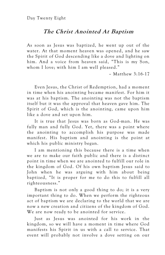#### **The Christ Anointed At Baptism**

As soon as Jesus was baptized, he went up out of the water. At that moment heaven was opened, and he saw the Spirit of God descending like a dove and lighting on him. And a voice from heaven said, "This is my Son, whom I love; with him I am well pleased."

– Matthew 3:16-17

Even Jesus, the Christ of Redemption, had a moment in time when his anointing became manifest. For him it was at his baptism. The anointing was not the baptism itself but it was the approval that heaven gave him. The Spirit of God, which is the anointing, came upon him like a dove and set upon him.

It is true that Jesus was born as God-man. He was fully man and fully God. Yet, there was a point where the anointing to accomplish his purpose was made manifest. His baptism and anointing is the point at which his public ministry began.

I am mentioning this because there is a time when we are to make our faith public and there is a distinct point in time when we are anointed to fulfill our role in the kingdom of God. Of his own baptism Jesus said to John when he was arguing with him about being baptized, "It is proper for me to do this to fulfill all righteousness."

Baptism is not only a good thing to do; it is a very important thing to do. When we perform the righteous act of baptism we are declaring to the world that we are now a new creation and citizens of the kingdom of God. We are now ready to be anointed for service.

Just as Jesus was anointed for his work in the kingdom, so we will have a moment in time where God manifests his Spirit in us with a call to service. That event will probably not involve a dove setting on our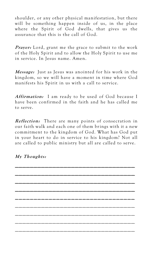shoulder, or any other physical manifestation, but there will be something happen inside of us, in the place where the Spirit of God dwells, that gives us the assurance that this is the call of God.

**Prayer:** Lord, grant me the grace to submit to the work of the Holy Spirit and to allow the Holy Spirit to use me in service. In Jesus name. Amen.

**Message:** Just as Jesus was anointed for his work in the kingdom, so we will have a moment in time where God manifests his Spirit in us with a call to service.

**Affirmation:** I am ready to be used of God because I have been confirmed in the faith and he has called me to serve.

**Reflection:** There are many points of consecration in our faith walk and each one of them brings with it a new commitment to the kingdom of God. What has God put in your heart to do in service to his kingdom? Not all are called to public ministry but all are called to serve.

 $\overline{\phantom{a}}$  , which is a set of the set of the set of the set of the set of the set of the set of the set of the set of the set of the set of the set of the set of the set of the set of the set of the set of the set of th  $\overline{\phantom{a}}$  , where  $\overline{\phantom{a}}$  , where  $\overline{\phantom{a}}$  ,  $\overline{\phantom{a}}$  ,  $\overline{\phantom{a}}$  ,  $\overline{\phantom{a}}$  ,  $\overline{\phantom{a}}$  ,  $\overline{\phantom{a}}$  ,  $\overline{\phantom{a}}$  ,  $\overline{\phantom{a}}$  ,  $\overline{\phantom{a}}$  ,  $\overline{\phantom{a}}$  ,  $\overline{\phantom{a}}$  ,  $\overline{\phantom{a}}$  ,  $\overline{\phantom{a}}$  ,  $\overline{\phantom{a}}$  , where  $\overline{\phantom{a}}$  , where  $\overline{\phantom{a}}$  ,  $\overline{\phantom{a}}$  ,  $\overline{\phantom{a}}$  ,  $\overline{\phantom{a}}$  ,  $\overline{\phantom{a}}$  ,  $\overline{\phantom{a}}$  ,  $\overline{\phantom{a}}$  ,  $\overline{\phantom{a}}$  ,  $\overline{\phantom{a}}$  ,  $\overline{\phantom{a}}$  ,  $\overline{\phantom{a}}$  ,  $\overline{\phantom{a}}$  ,  $\overline{\phantom{a}}$  , \_\_\_\_\_\_\_\_\_\_\_\_\_\_\_\_\_\_\_\_\_\_\_\_\_\_\_\_\_\_\_\_  $\overline{\phantom{a}}$  , which is a set of the set of the set of the set of the set of the set of the set of the set of the set of the set of the set of the set of the set of the set of the set of the set of the set of the set of th  $\overline{\phantom{a}}$  , where  $\overline{\phantom{a}}$  , where  $\overline{\phantom{a}}$  ,  $\overline{\phantom{a}}$  ,  $\overline{\phantom{a}}$  ,  $\overline{\phantom{a}}$  ,  $\overline{\phantom{a}}$  ,  $\overline{\phantom{a}}$  ,  $\overline{\phantom{a}}$  ,  $\overline{\phantom{a}}$  ,  $\overline{\phantom{a}}$  ,  $\overline{\phantom{a}}$  ,  $\overline{\phantom{a}}$  ,  $\overline{\phantom{a}}$  ,  $\overline{\phantom{a}}$  ,  $\overline{\phantom{a}}$  , where  $\overline{\phantom{a}}$  , where  $\overline{\phantom{a}}$  ,  $\overline{\phantom{a}}$  ,  $\overline{\phantom{a}}$  ,  $\overline{\phantom{a}}$  ,  $\overline{\phantom{a}}$  ,  $\overline{\phantom{a}}$  ,  $\overline{\phantom{a}}$  ,  $\overline{\phantom{a}}$  ,  $\overline{\phantom{a}}$  ,  $\overline{\phantom{a}}$  ,  $\overline{\phantom{a}}$  ,  $\overline{\phantom{a}}$  ,  $\overline{\phantom{a}}$  , \_\_\_\_\_\_\_\_\_\_\_\_\_\_\_\_\_\_\_\_\_\_\_\_\_\_\_\_\_\_\_\_ \_\_\_\_\_\_\_\_\_\_\_\_\_\_\_\_\_\_\_\_\_\_\_\_\_\_\_\_\_\_\_\_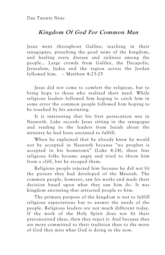#### **Kingdom Of God For Common Man**

Jesus went throughout Galilee, teaching in their synagogues, preaching the good news of the kingdom**,**  and healing every disease and sickness among the people… Large crowds from Galilee, the Decapolis, Jerusalem, Judea and the region across the Jordan followed him.  $-$  Matthew 4.23-25

Jesus did not come to comfort the religious, but to bring hope to those who realized their need. While religious leaders followed him hoping to catch him in some error the common people followed him hoping to be touched by his anointing.

It is interesting that his first persecution was in Nazareth. Luke records Jesus sitting in the synagogue and reading to the leaders from Isaiah about the ministry he had been anointed to fulfill.

When he explained that he already knew he would not be accepted in Nazareth because "no prophet is accepted in his hometown" (Luke 4:24), these fine religious folks became angry and tried to throw him from a cliff, but he escaped them.

Religious people rejected him because he did not fit the picture they had developed of the Messiah. The common people, however, saw his works and made their decision based upon what they saw him do. It was kingdom anointing that attracted people to him.

The primary purpose of the kingdom is not to fulfill religious expectations but to answer the needs of the people. Religious leaders are not much different today. If the work of the Holy Spirit does not fit their preconceived ideas, then they reject it. And because they are more committed to their tradition than to the move of God they miss what God is doing in the now.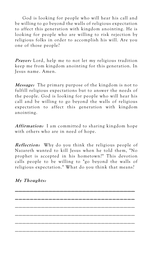God is looking for people who will hear his call and be willing to go beyond the walls of religious expectation to affect this generation with kingdom anointing. He is looking for people who are willing to risk rejection by religious folks in order to accomplish his will. Are you one of those people?

**Prayer:** Lord, help me to not let my religious tradition keep me from kingdom anointing for this generation. In Jesus name. Amen.

**Message:** The primary purpose of the kingdom is not to fulfill religious expectations but to answer the needs of the people. God is looking for people who will hear his call and be willing to go beyond the walls of religious expectation to affect this generation with kingdom anointing.

**Affirmation:** I am committed to sharing kingdom hope with others who are in need of hope.

**Reflection:** Why do you think the religious people of Nazareth wanted to kill Jesus when he told them, "No prophet is accepted in his hometown?" This devotion calls people to be willing to "go beyond the walls of religious expectation." What do you think that means?

\_\_\_\_\_\_\_\_\_\_\_\_\_\_\_\_\_\_\_\_\_\_\_\_\_\_\_\_\_\_\_\_  $\overline{\phantom{a}}$  , which is a set of the set of the set of the set of the set of the set of the set of the set of the set of the set of the set of the set of the set of the set of the set of the set of the set of the set of th  $\overline{\phantom{a}}$  , where  $\overline{\phantom{a}}$  , where  $\overline{\phantom{a}}$  ,  $\overline{\phantom{a}}$  ,  $\overline{\phantom{a}}$  ,  $\overline{\phantom{a}}$  ,  $\overline{\phantom{a}}$  ,  $\overline{\phantom{a}}$  ,  $\overline{\phantom{a}}$  ,  $\overline{\phantom{a}}$  ,  $\overline{\phantom{a}}$  ,  $\overline{\phantom{a}}$  ,  $\overline{\phantom{a}}$  ,  $\overline{\phantom{a}}$  ,  $\overline{\phantom{a}}$  ,  $\overline{\phantom{a}}$  , where  $\overline{\phantom{a}}$  , where  $\overline{\phantom{a}}$  ,  $\overline{\phantom{a}}$  ,  $\overline{\phantom{a}}$  ,  $\overline{\phantom{a}}$  ,  $\overline{\phantom{a}}$  ,  $\overline{\phantom{a}}$  ,  $\overline{\phantom{a}}$  ,  $\overline{\phantom{a}}$  ,  $\overline{\phantom{a}}$  ,  $\overline{\phantom{a}}$  ,  $\overline{\phantom{a}}$  ,  $\overline{\phantom{a}}$  ,  $\overline{\phantom{a}}$  , \_\_\_\_\_\_\_\_\_\_\_\_\_\_\_\_\_\_\_\_\_\_\_\_\_\_\_\_\_\_\_\_ \_\_\_\_\_\_\_\_\_\_\_\_\_\_\_\_\_\_\_\_\_\_\_\_\_\_\_\_\_\_\_\_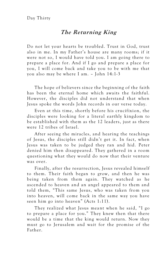## **The Returning King**

Do not let your hearts be troubled. Trust in God, trust also in me. In my Father's house are many rooms; if it were not so, I would have told you. I am going there to prepare a place for. And if I go and prepare a place for you, I will come back and take you to be with me that you also may be where I am. – John 14:1-3

The hope of believers since the beginning of the faith has been the eternal home which awaits the faithful. However, the disciples did not understand that when Jesus spoke the words John records in our verse today.

Even at this time, shortly before his crucifixion, the disciples were looking for a literal earthly kingdom to be established with them as the 12 leaders, just as there were 12 tribes of Israel.

After seeing the miracles, and hearing the teachings of Jesus, the disciples still didn't get it. In fact, when Jesus was taken to be judged they ran and hid. Peter denied him then disappeared. They gathered in a room questioning what they would do now that their venture was over.

Finally, after the resurrection, Jesus revealed himself to them. Their faith began to grow, and then he was being taken from them again. They watched as he ascended to heaven and an angel appeared to them and told them, "This same Jesus, who was taken from you into heaven, will come back in the same way you have seen him go into heaven" (Acts 1:11).

They realized what Jesus meant when he said, "I go to prepare a place for you." They knew then that there would be a time that the king would return. Now they must go to Jerusalem and wait for the promise of the Father.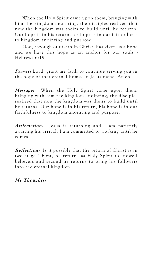When the Holy Spirit came upon them, bringing with him the kingdom anointing, the disciples realized that now the kingdom was theirs to build until he returns. Our hope is in his return, his hope is in our faithfulness to kingdom anointing and purpose.

God, through our faith in Christ, has given us a hope and we have this hope as an anchor for our souls - Hebrews 6:19

**Prayer:** Lord, grant me faith to continue serving you in the hope of that eternal home. In Jesus name. Amen.

**Message:** When the Holy Spirit came upon them, bringing with him the kingdom anointing, the disciples realized that now the kingdom was theirs to build un til he returns. Our hope is in his return, his hope is in our faithfulness to kingdom anointing and purpose.

**Affirmation:** Jesus is returning and I am patiently awaiting his arrival. I am committed to working until he comes.

**Reflection:** Is it possible that the return of Christ is in two stages? First, he returns as Holy Spirit to indwell believers and second he returns to bring his followers into the eternal kingdom.

 $\overline{\phantom{a}}$  , which is a set of the set of the set of the set of the set of the set of the set of the set of the set of the set of the set of the set of the set of the set of the set of the set of the set of the set of th  $\overline{\phantom{a}}$  , where  $\overline{\phantom{a}}$  , where  $\overline{\phantom{a}}$  ,  $\overline{\phantom{a}}$  ,  $\overline{\phantom{a}}$  ,  $\overline{\phantom{a}}$  ,  $\overline{\phantom{a}}$  ,  $\overline{\phantom{a}}$  ,  $\overline{\phantom{a}}$  ,  $\overline{\phantom{a}}$  ,  $\overline{\phantom{a}}$  ,  $\overline{\phantom{a}}$  ,  $\overline{\phantom{a}}$  ,  $\overline{\phantom{a}}$  ,  $\overline{\phantom{a}}$  , \_\_\_\_\_\_\_\_\_\_\_\_\_\_\_\_\_\_\_\_\_\_\_\_\_\_\_\_\_\_\_\_ \_\_\_\_\_\_\_\_\_\_\_\_\_\_\_\_\_\_\_\_\_\_\_\_\_\_\_\_\_\_\_\_  $\overline{\phantom{a}}$  , which is a set of the set of the set of the set of the set of the set of the set of the set of the set of the set of the set of the set of the set of the set of the set of the set of the set of the set of th  $\overline{\phantom{a}}$  , where  $\overline{\phantom{a}}$  , where  $\overline{\phantom{a}}$  ,  $\overline{\phantom{a}}$  ,  $\overline{\phantom{a}}$  ,  $\overline{\phantom{a}}$  ,  $\overline{\phantom{a}}$  ,  $\overline{\phantom{a}}$  ,  $\overline{\phantom{a}}$  ,  $\overline{\phantom{a}}$  ,  $\overline{\phantom{a}}$  ,  $\overline{\phantom{a}}$  ,  $\overline{\phantom{a}}$  ,  $\overline{\phantom{a}}$  ,  $\overline{\phantom{a}}$  ,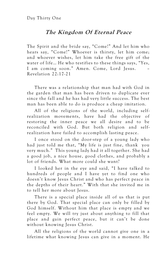#### **The Kingdom Of Eternal Peace**

The Spirit and the bride say, "Come!" And let him who hears say, "Come!" Whoever is thirsty, let him come; and whoever wishes, let him take the free gift of the water of life… He who testifies to these things says, "Yes, I am coming soon." Amen. Come, Lord Jesus. – Revelation 22:17-21

There was a relationship that man had with God in the garden that man has been driven to duplicate ever since the fall and he has had very little success. The best man has been able to do is produce a cheap imitation.

All of the religions of the world, including selfrealization movements, have had the objective of restoring the inner peace we all desire and to be reconciled with God. But both religion and selfrealization have failed to accomplish lasting peace.

I once stood on the door-step of a young lady who had just told me that, "My life is just fine, thank you very much." This young lady had it all together. She had a good job, a nice house, good clothes, and probably a lot of friends. What more could she want?

I looked her in the eye and said, "I have talked to hundreds of people and I have yet to find one who doesn't know Jesus Christ and who has perfect peace in the depths of their heart." With that she invited me in to tell her more about Jesus.

There is a special place inside all of us that is put there by God. That special place can only be filled by God himself. Without him that place is empty and we feel empty. We will try just about anything to fill that place and gain perfect peace, but it can't be done without knowing Jesus Christ.

All the religions of the world cannot give one in a lifetime what knowing Jesus can give in a moment. He